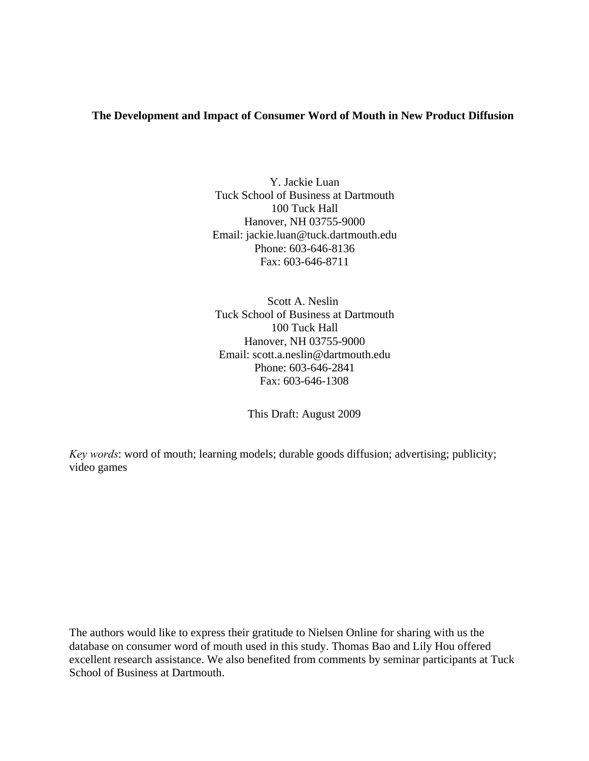### **The Development and Impact of Consumer Word of Mouth in New Product Diffusion**

Y. Jackie Luan Tuck School of Business at Dartmouth 100 Tuck Hall Hanover, NH 03755-9000 Email: jackie.luan@tuck.dartmouth.edu Phone: 603-646-8136 Fax: 603-646-8711

Scott A. Neslin Tuck School of Business at Dartmouth 100 Tuck Hall Hanover, NH 03755-9000 Email: scott.a.neslin@dartmouth.edu Phone: 603-646-2841 Fax: 603-646-1308

This Draft: August 2009

*Key words*: word of mouth; learning models; durable goods diffusion; advertising; publicity; video games

The authors would like to express their gratitude to Nielsen Online for sharing with us the database on consumer word of mouth used in this study. Thomas Bao and Lily Hou offered excellent research assistance. We also benefited from comments by seminar participants at Tuck School of Business at Dartmouth.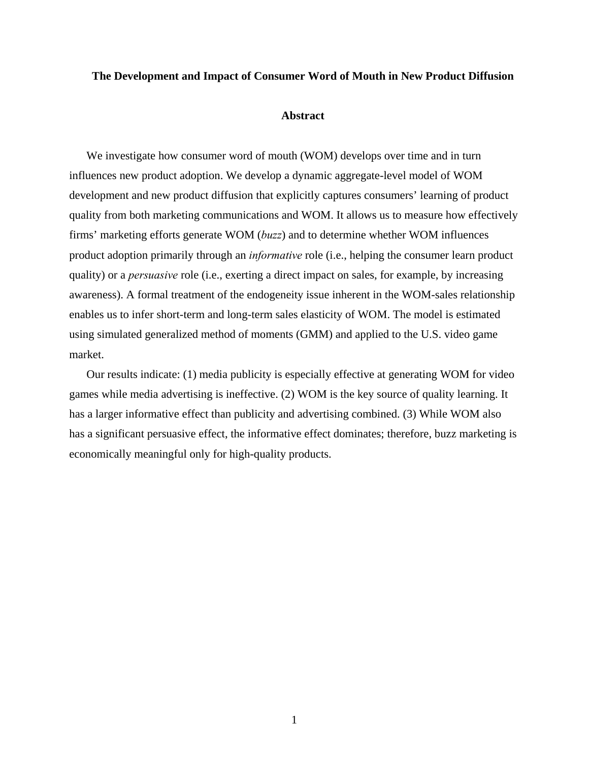#### **The Development and Impact of Consumer Word of Mouth in New Product Diffusion**

#### **Abstract**

We investigate how consumer word of mouth (WOM) develops over time and in turn influences new product adoption. We develop a dynamic aggregate-level model of WOM development and new product diffusion that explicitly captures consumers' learning of product quality from both marketing communications and WOM. It allows us to measure how effectively firms' marketing efforts generate WOM (*buzz*) and to determine whether WOM influences product adoption primarily through an *informative* role (i.e., helping the consumer learn product quality) or a *persuasive* role (i.e., exerting a direct impact on sales, for example, by increasing awareness). A formal treatment of the endogeneity issue inherent in the WOM-sales relationship enables us to infer short-term and long-term sales elasticity of WOM. The model is estimated using simulated generalized method of moments (GMM) and applied to the U.S. video game market.

Our results indicate: (1) media publicity is especially effective at generating WOM for video games while media advertising is ineffective. (2) WOM is the key source of quality learning. It has a larger informative effect than publicity and advertising combined. (3) While WOM also has a significant persuasive effect, the informative effect dominates; therefore, buzz marketing is economically meaningful only for high-quality products.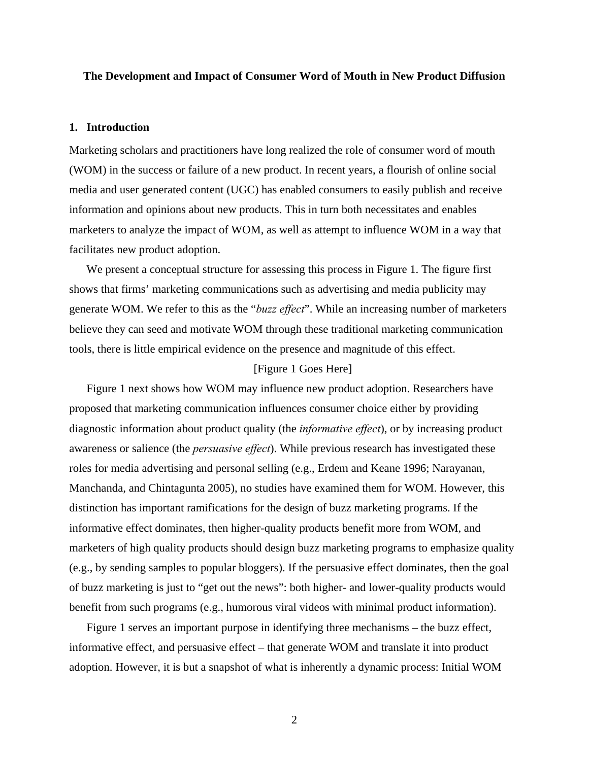#### **The Development and Impact of Consumer Word of Mouth in New Product Diffusion**

#### **1. Introduction**

Marketing scholars and practitioners have long realized the role of consumer word of mouth (WOM) in the success or failure of a new product. In recent years, a flourish of online social media and user generated content (UGC) has enabled consumers to easily publish and receive information and opinions about new products. This in turn both necessitates and enables marketers to analyze the impact of WOM, as well as attempt to influence WOM in a way that facilitates new product adoption.

We present a conceptual structure for assessing this process in [Figure 1](#page-35-0). The figure first shows that firms' marketing communications such as advertising and media publicity may generate WOM. We refer to this as the "*buzz effect*". While an increasing number of marketers believe they can seed and motivate WOM through these traditional marketing communication tools, there is little empirical evidence on the presence and magnitude of this effect.

#### [[Figure 1](#page-35-0) Goes Here]

Figure 1 next shows how WOM may influence new product adoption. Researchers have proposed that marketing communication influences consumer choice either by providing diagnostic information about product quality (the *informative effect*), or by increasing product awareness or salience (the *persuasive effect*). While previous research has investigated these roles for media advertising and personal selling (e.g., Erdem and Keane 1996; Narayanan, Manchanda, and Chintagunta 2005), no studies have examined them for WOM. However, this distinction has important ramifications for the design of buzz marketing programs. If the informative effect dominates, then higher-quality products benefit more from WOM, and marketers of high quality products should design buzz marketing programs to emphasize quality (e.g., by sending samples to popular bloggers). If the persuasive effect dominates, then the goal of buzz marketing is just to "get out the news": both higher- and lower-quality products would benefit from such programs (e.g., humorous viral videos with minimal product information).

Figure 1 serves an important purpose in identifying three mechanisms – the buzz effect, informative effect, and persuasive effect – that generate WOM and translate it into product adoption. However, it is but a snapshot of what is inherently a dynamic process: Initial WOM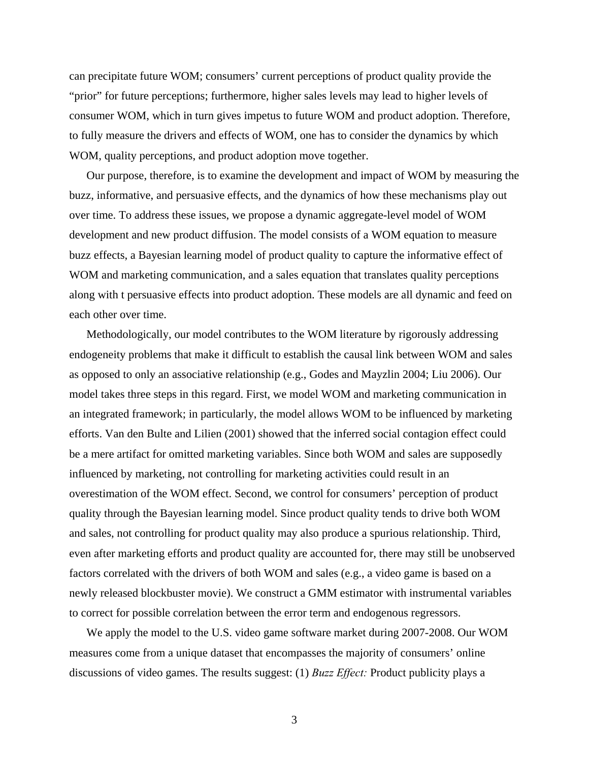can precipitate future WOM; consumers' current perceptions of product quality provide the "prior" for future perceptions; furthermore, higher sales levels may lead to higher levels of consumer WOM, which in turn gives impetus to future WOM and product adoption. Therefore, to fully measure the drivers and effects of WOM, one has to consider the dynamics by which WOM, quality perceptions, and product adoption move together.

Our purpose, therefore, is to examine the development and impact of WOM by measuring the buzz, informative, and persuasive effects, and the dynamics of how these mechanisms play out over time. To address these issues, we propose a dynamic aggregate-level model of WOM development and new product diffusion. The model consists of a WOM equation to measure buzz effects, a Bayesian learning model of product quality to capture the informative effect of WOM and marketing communication, and a sales equation that translates quality perceptions along with t persuasive effects into product adoption. These models are all dynamic and feed on each other over time.

Methodologically, our model contributes to the WOM literature by rigorously addressing endogeneity problems that make it difficult to establish the causal link between WOM and sales as opposed to only an associative relationship (e.g., Godes and Mayzlin 2004; Liu 2006). Our model takes three steps in this regard. First, we model WOM and marketing communication in an integrated framework; in particularly, the model allows WOM to be influenced by marketing efforts. Van den Bulte and Lilien (2001) showed that the inferred social contagion effect could be a mere artifact for omitted marketing variables. Since both WOM and sales are supposedly influenced by marketing, not controlling for marketing activities could result in an overestimation of the WOM effect. Second, we control for consumers' perception of product quality through the Bayesian learning model. Since product quality tends to drive both WOM and sales, not controlling for product quality may also produce a spurious relationship. Third, even after marketing efforts and product quality are accounted for, there may still be unobserved factors correlated with the drivers of both WOM and sales (e.g., a video game is based on a newly released blockbuster movie). We construct a GMM estimator with instrumental variables to correct for possible correlation between the error term and endogenous regressors.

We apply the model to the U.S. video game software market during 2007-2008. Our WOM measures come from a unique dataset that encompasses the majority of consumers' online discussions of video games. The results suggest: (1) *Buzz Effect:* Product publicity plays a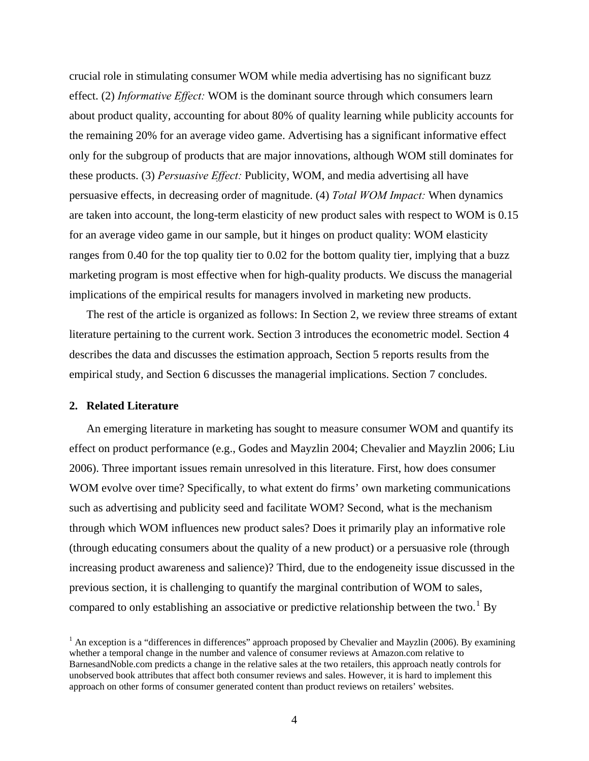crucial role in stimulating consumer WOM while media advertising has no significant buzz effect. (2) *Informative Effect:* WOM is the dominant source through which consumers learn about product quality, accounting for about 80% of quality learning while publicity accounts for the remaining 20% for an average video game. Advertising has a significant informative effect only for the subgroup of products that are major innovations, although WOM still dominates for these products. (3) *Persuasive Effect:* Publicity, WOM, and media advertising all have persuasive effects, in decreasing order of magnitude. (4) *Total WOM Impact:* When dynamics are taken into account, the long-term elasticity of new product sales with respect to WOM is 0.15 for an average video game in our sample, but it hinges on product quality: WOM elasticity ranges from 0.40 for the top quality tier to 0.02 for the bottom quality tier, implying that a buzz marketing program is most effective when for high-quality products. We discuss the managerial implications of the empirical results for managers involved in marketing new products.

The rest of the article is organized as follows: In Section [2](#page-4-0), we review three streams of extant literature pertaining to the current work. Section [3](#page-5-0) introduces the econometric model. Section [4](#page-11-0) describes the data and discusses the estimation approach, Section [5](#page-16-0) reports results from the empirical study, and Section [6](#page-23-0) discusses the managerial implications. Section [7](#page-26-0) concludes.

#### <span id="page-4-0"></span>**2. Related Literature**

An emerging literature in marketing has sought to measure consumer WOM and quantify its effect on product performance (e.g., Godes and Mayzlin 2004; Chevalier and Mayzlin 2006; Liu 2006). Three important issues remain unresolved in this literature. First, how does consumer WOM evolve over time? Specifically, to what extent do firms' own marketing communications such as advertising and publicity seed and facilitate WOM? Second, what is the mechanism through which WOM influences new product sales? Does it primarily play an informative role (through educating consumers about the quality of a new product) or a persuasive role (through increasing product awareness and salience)? Third, due to the endogeneity issue discussed in the previous section, it is challenging to quantify the marginal contribution of WOM to sales, compared to only establishing an associative or predictive relationship between the two.<sup>[1](#page-4-1)</sup> By

<span id="page-4-1"></span> $<sup>1</sup>$  An exception is a "differences in differences" approach proposed by Chevalier and Mayzlin (2006). By examining</sup> whether a temporal change in the number and valence of consumer reviews at Amazon.com relative to BarnesandNoble.com predicts a change in the relative sales at the two retailers, this approach neatly controls for unobserved book attributes that affect both consumer reviews and sales. However, it is hard to implement this approach on other forms of consumer generated content than product reviews on retailers' websites.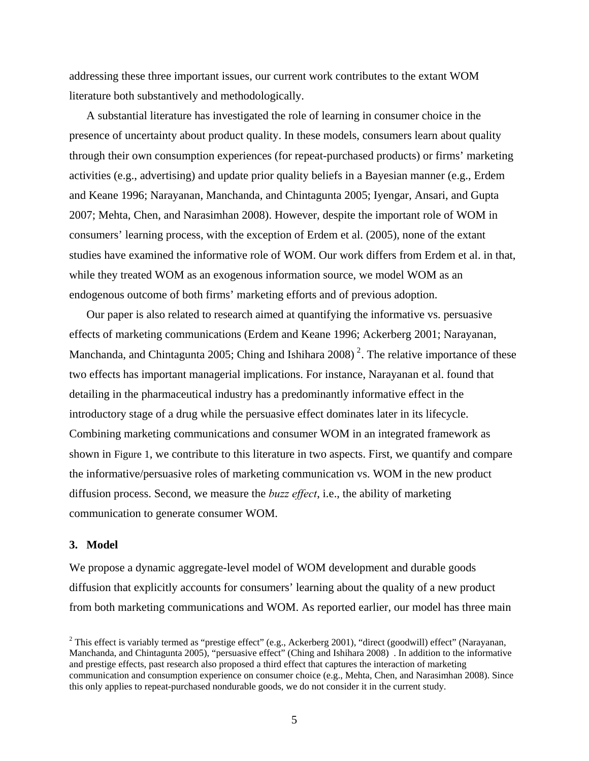addressing these three important issues, our current work contributes to the extant WOM literature both substantively and methodologically.

A substantial literature has investigated the role of learning in consumer choice in the presence of uncertainty about product quality. In these models, consumers learn about quality through their own consumption experiences (for repeat-purchased products) or firms' marketing activities (e.g., advertising) and update prior quality beliefs in a Bayesian manner (e.g., Erdem and Keane 1996; Narayanan, Manchanda, and Chintagunta 2005; Iyengar, Ansari, and Gupta 2007; Mehta, Chen, and Narasimhan 2008). However, despite the important role of WOM in consumers' learning process, with the exception of Erdem et al. (2005), none of the extant studies have examined the informative role of WOM. Our work differs from Erdem et al. in that, while they treated WOM as an exogenous information source, we model WOM as an endogenous outcome of both firms' marketing efforts and of previous adoption.

Our paper is also related to research aimed at quantifying the informative vs. persuasive effects of marketing communications (Erdem and Keane 1996; Ackerberg 2001; Narayanan, Manchanda, and Chintagunta [2](#page-5-1)005; Ching and Ishihara 2008)<sup>2</sup>. The relative importance of these two effects has important managerial implications. For instance, Narayanan et al. found that detailing in the pharmaceutical industry has a predominantly informative effect in the introductory stage of a drug while the persuasive effect dominates later in its lifecycle. Combining marketing communications and consumer WOM in an integrated framework as shown in [Figure 1,](#page-35-0) we contribute to this literature in two aspects. First, we quantify and compare the informative/persuasive roles of marketing communication vs. WOM in the new product diffusion process. Second, we measure the *buzz effect*, i.e., the ability of marketing communication to generate consumer WOM.

#### <span id="page-5-0"></span>**3. Model**

We propose a dynamic aggregate-level model of WOM development and durable goods diffusion that explicitly accounts for consumers' learning about the quality of a new product from both marketing communications and WOM. As reported earlier, our model has three main

<span id="page-5-1"></span><sup>&</sup>lt;sup>2</sup> This effect is variably termed as "prestige effect" (e.g., Ackerberg 2001), "direct (goodwill) effect" (Narayanan, Manchanda, and Chintagunta 2005), "persuasive effect" (Ching and Ishihara 2008) . In addition to the informative and prestige effects, past research also proposed a third effect that captures the interaction of marketing communication and consumption experience on consumer choice (e.g., Mehta, Chen, and Narasimhan 2008). Since this only applies to repeat-purchased nondurable goods, we do not consider it in the current study.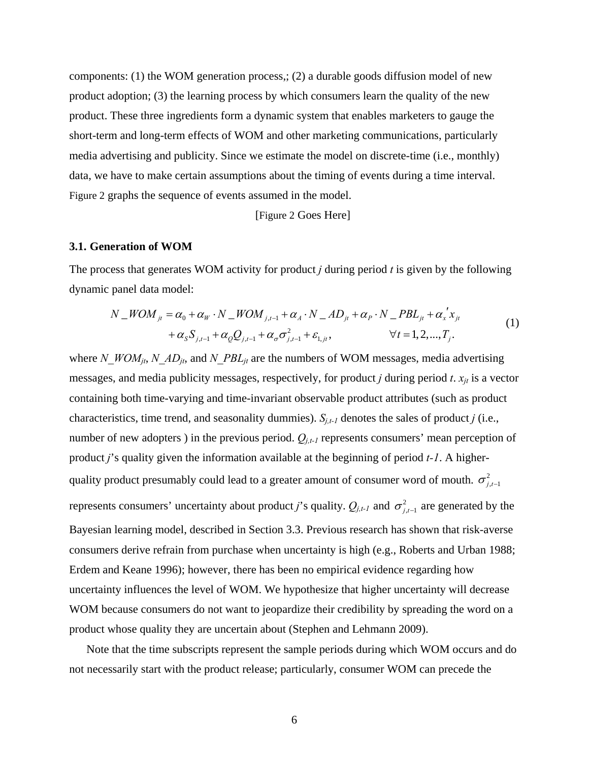components: (1) the WOM generation process,; (2) a durable goods diffusion model of new product adoption; (3) the learning process by which consumers learn the quality of the new product. These three ingredients form a dynamic system that enables marketers to gauge the short-term and long-term effects of WOM and other marketing communications, particularly media advertising and publicity. Since we estimate the model on discrete-time (i.e., monthly) data, we have to make certain assumptions about the timing of events during a time interval. [Figure 2](#page-35-1) graphs the sequence of events assumed in the model.

[\[Figure 2](#page-35-1) Goes Here]

#### **3.1. Generation of WOM**

<span id="page-6-0"></span>The process that generates WOM activity for product *j* during period *t* is given by the following dynamic panel data model:

$$
N_{-}WOM_{jt} = \alpha_0 + \alpha_W \cdot N_{-}WOM_{j,t-1} + \alpha_A \cdot N_{-}AD_{jt} + \alpha_P \cdot N_{-}PBL_{jt} + \alpha_x' x_{jt} + \alpha_S S_{j,t-1} + \alpha_Q Q_{j,t-1} + \alpha_\sigma \sigma_{j,t-1}^2 + \varepsilon_{1,jt}, \qquad \forall t = 1, 2, ..., T_j.
$$
\n(1)

where *N\_WOM<sub>it</sub>*, *N\_AD<sub>it</sub>*, and *N\_PBL<sub>it</sub>* are the numbers of WOM messages, media advertising messages, and media publicity messages, respectively, for product *j* during period *t*.  $x_{jt}$  is a vector containing both time-varying and time-invariant observable product attributes (such as product characteristics, time trend, and seasonality dummies).  $S_{i,t-1}$  denotes the sales of product *j* (i.e., number of new adopters) in the previous period.  $Q_{i,t-1}$  represents consumers' mean perception of product *j*'s quality given the information available at the beginning of period *t-1*. A higherquality product presumably could lead to a greater amount of consumer word of mouth.  $\sigma_{i}^2$ represents consumers' uncertainty about product *j*'s quality.  $Q_{j,t-1}$  and  $\sigma^2_{j,t-1}$  are generated by the Bayesian learning model, described in Section [3.3.](#page-9-0) Previous research has shown that risk-averse consumers derive refrain from purchase when uncertainty is high (e.g., Roberts and Urban 1988; Erdem and Keane 1996); however, there has been no empirical evidence regarding how uncertainty influences the level of WOM. We hypothesize that higher uncertainty will decrease WOM because consumers do not want to jeopardize their credibility by spreading the word on a product whose quality they are uncertain about (Stephen and Lehmann 2009).

Note that the time subscripts represent the sample periods during which WOM occurs and do not necessarily start with the product release; particularly, consumer WOM can precede the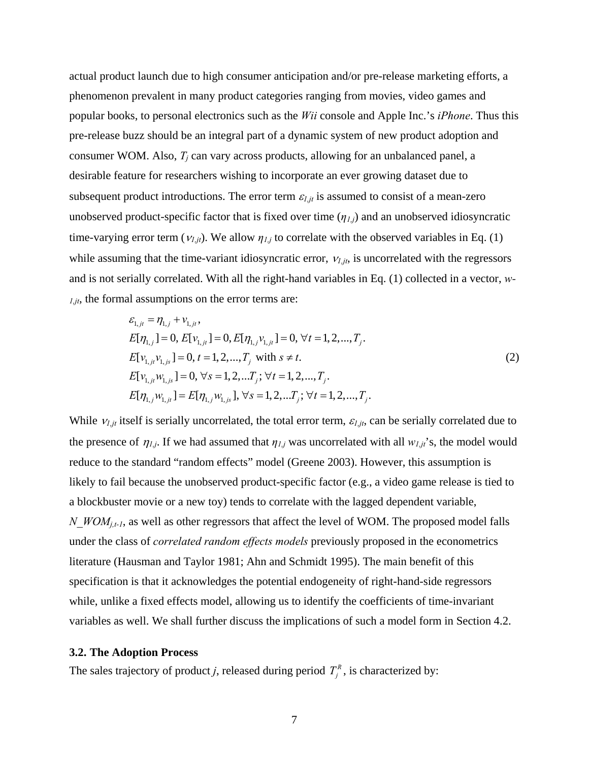actual product launch due to high consumer anticipation and/or pre-release marketing efforts, a phenomenon prevalent in many product categories ranging from movies, video games and popular books, to personal electronics such as the *Wii* console and Apple Inc.'s *iPhone*. Thus this pre-release buzz should be an integral part of a dynamic system of new product adoption and consumer WOM. Also,  $T_i$  can vary across products, allowing for an unbalanced panel, a desirable feature for researchers wishing to incorporate an ever growing dataset due to subsequent product introductions. The error term  $\varepsilon_{l,jt}$  is assumed to consist of a mean-zero unobserved product-specific factor that is fixed over time  $(\eta_{1,j})$  and an unobserved idiosyncratic time-varying error term  $(v_{1,jt})$ . We allow  $\eta_{1,j}$  to correlate with the observed variables in Eq. (1) while assuming that the time-variant idiosyncratic error, <sup>ν</sup>*1,jt*, is uncorrelated with the regressors and is not serially correlated. With all the right-hand variables in Eq. [\(1\)](#page-6-0) collected in a vector, *w-1,jt*, the formal assumptions on the error terms are:

$$
\varepsilon_{1,jt} = \eta_{1,j} + v_{1,jt},
$$
\n
$$
E[\eta_{1,j}] = 0, E[v_{1,jt}] = 0, E[\eta_{1,j}v_{1,jt}] = 0, \forall t = 1, 2, ..., T_j.
$$
\n
$$
E[v_{1,jt}v_{1,js}] = 0, t = 1, 2, ..., T_j \text{ with } s \neq t.
$$
\n
$$
E[v_{1,jt}w_{1,js}] = 0, \forall s = 1, 2, ..., T_j; \forall t = 1, 2, ..., T_j.
$$
\n
$$
E[\eta_{1,j}w_{1,js}] = E[\eta_{1,j}w_{1,js}], \forall s = 1, 2, ..., T_j; \forall t = 1, 2, ..., T_j.
$$
\n(2)

<span id="page-7-0"></span>While  $v_{i,jt}$  itself is serially uncorrelated, the total error term,  $\varepsilon_{i,jt}$ , can be serially correlated due to the presence of  $\eta_{1,j}$ . If we had assumed that  $\eta_{1,j}$  was uncorrelated with all  $w_{1,j}$ 's, the model would reduce to the standard "random effects" model (Greene 2003). However, this assumption is likely to fail because the unobserved product-specific factor (e.g., a video game release is tied to a blockbuster movie or a new toy) tends to correlate with the lagged dependent variable, *N\_WOM<sub>j,t-1</sub>*, as well as other regressors that affect the level of WOM. The proposed model falls under the class of *correlated random effects models* previously proposed in the econometrics literature (Hausman and Taylor 1981; Ahn and Schmidt 1995). The main benefit of this specification is that it acknowledges the potential endogeneity of right-hand-side regressors while, unlike a fixed effects model, allowing us to identify the coefficients of time-invariant variables as well. We shall further discuss the implications of such a model form in Section [4.2.](#page-13-0)

#### **3.2. The Adoption Process**

The sales trajectory of product *j*, released during period  $T_i^R$ , is characterized by: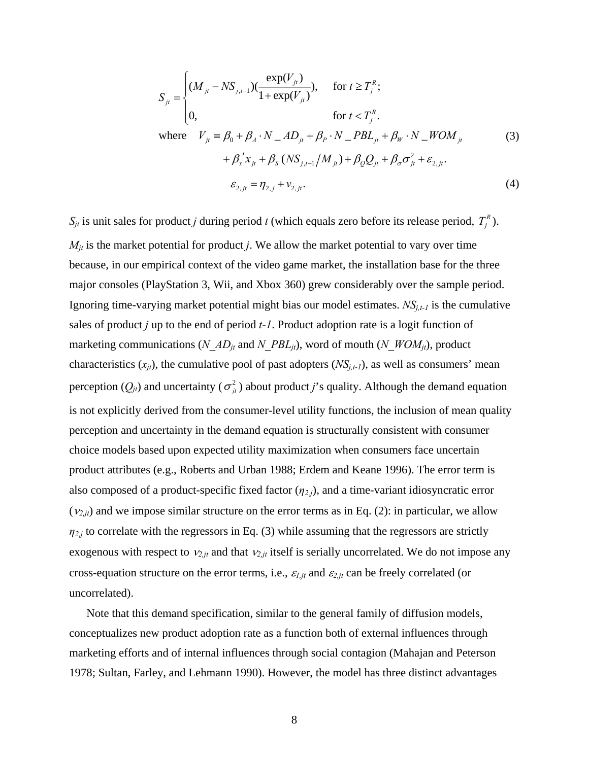<span id="page-8-0"></span>
$$
S_{ji} = \begin{cases} (M_{ji} - NS_{j,t-1})(\frac{\exp(V_{ji})}{1 + \exp(V_{ji})}), & \text{for } t \ge T_j^R; \\ 0, & \text{for } t < T_j^R. \end{cases}
$$
  
where  $V_{ji} = \beta_0 + \beta_4 \cdot N \cdot AD_{jt} + \beta_p \cdot N \cdot PBL_{jt} + \beta_w \cdot N \cdot WOM_{jt}$   
 $+ \beta_x' x_{jt} + \beta_s (NS_{j,t-1}/M_{jt}) + \beta_Q Q_{jt} + \beta_\sigma \sigma_{jt}^2 + \varepsilon_{2,jt}.$   
 $\varepsilon_{2,jt} = \eta_{2,j} + \nu_{2,jt}.$  (4)

<span id="page-8-1"></span> $S_{jt}$  is unit sales for product *j* during period *t* (which equals zero before its release period,  $T_i^R$ ).  $M_{jt}$  is the market potential for product *j*. We allow the market potential to vary over time because, in our empirical context of the video game market, the installation base for the three major consoles (PlayStation 3, Wii, and Xbox 360) grew considerably over the sample period. Ignoring time-varying market potential might bias our model estimates. *NSj,t-1* is the cumulative sales of product *j* up to the end of period *t-1*. Product adoption rate is a logit function of marketing communications (*N\_AD<sub>it</sub>* and *N\_PBL<sub>it</sub>*), word of mouth (*N\_WOM<sub>it</sub>*), product characteristics  $(x_{it})$ , the cumulative pool of past adopters  $(NS_{i,t-1})$ , as well as consumers' mean perception  $(Q_{jt})$  and uncertainty ( $\sigma_{jt}^2$ ) about product *j*'s quality. Although the demand equation is not explicitly derived from the consumer-level utility functions, the inclusion of mean quality perception and uncertainty in the demand equation is structurally consistent with consumer choice models based upon expected utility maximization when consumers face uncertain product attributes (e.g., Roberts and Urban 1988; Erdem and Keane 1996). The error term is also composed of a product-specific fixed factor (*η2,j*), and a time-variant idiosyncratic error  $(v_{2,jt})$  and we impose similar structure on the error terms as in Eq. [\(2\)](#page-7-0): in particular, we allow  $\eta_{2,j}$  to correlate with the regressors in Eq. [\(3\)](#page-8-0) while assuming that the regressors are strictly exogenous with respect to  $v_{2,jt}$  and that  $v_{2,jt}$  itself is serially uncorrelated. We do not impose any cross-equation structure on the error terms, i.e.,  $\varepsilon_{l,jt}$  and  $\varepsilon_{2,jt}$  can be freely correlated (or uncorrelated).

Note that this demand specification, similar to the general family of diffusion models, conceptualizes new product adoption rate as a function both of external influences through marketing efforts and of internal influences through social contagion (Mahajan and Peterson 1978; Sultan, Farley, and Lehmann 1990). However, the model has three distinct advantages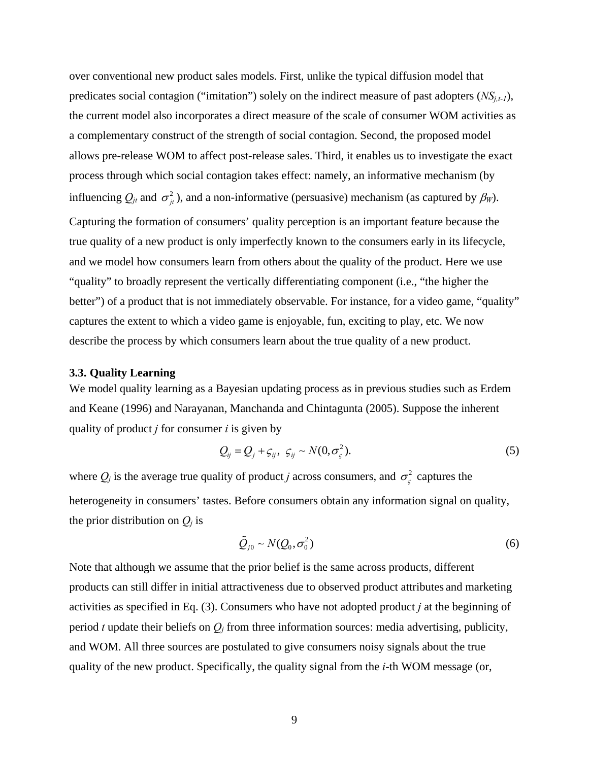over conventional new product sales models. First, unlike the typical diffusion model that predicates social contagion ("imitation") solely on the indirect measure of past adopters  $(NS_{i,t-1})$ , the current model also incorporates a direct measure of the scale of consumer WOM activities as a complementary construct of the strength of social contagion. Second, the proposed model allows pre-release WOM to affect post-release sales. Third, it enables us to investigate the exact process through which social contagion takes effect: namely, an informative mechanism (by influencing  $Q_{jt}$  and  $\sigma_{it}^2$ ), and a non-informative (persuasive) mechanism (as captured by  $\beta_W$ ). Capturing the formation of consumers' quality perception is an important feature because the true quality of a new product is only imperfectly known to the consumers early in its lifecycle, and we model how consumers learn from others about the quality of the product. Here we use "quality" to broadly represent the vertically differentiating component (i.e., "the higher the better") of a product that is not immediately observable. For instance, for a video game, "quality" captures the extent to which a video game is enjoyable, fun, exciting to play, etc. We now describe the process by which consumers learn about the true quality of a new product.

#### <span id="page-9-0"></span>**3.3. Quality Learning**

We model quality learning as a Bayesian updating process as in previous studies such as Erdem and Keane (1996) and Narayanan, Manchanda and Chintagunta (2005). Suppose the inherent quality of product *j* for consumer *i* is given by

$$
Q_{ij} = Q_j + \varsigma_{ij}, \ \varsigma_{ij} \sim N(0, \sigma^2_{\varsigma}).
$$

<span id="page-9-1"></span>where  $Q_j$  is the average true quality of product *j* across consumers, and  $\sigma_{\zeta}^2$  captures the heterogeneity in consumers' tastes. Before consumers obtain any information signal on quality, the prior distribution on  $Q_i$  is

$$
\tilde{Q}_{j0} \sim N(Q_0, \sigma_0^2) \tag{6}
$$

Note that although we assume that the prior belief is the same across products, different products can still differ in initial attractiveness due to observed product attributes and marketing activities as specified in Eq. [\(3\)](#page-8-0). Consumers who have not adopted product *j* at the beginning of period *t* update their beliefs on *Qj* from three information sources: media advertising, publicity, and WOM. All three sources are postulated to give consumers noisy signals about the true quality of the new product. Specifically, the quality signal from the *i*-th WOM message (or,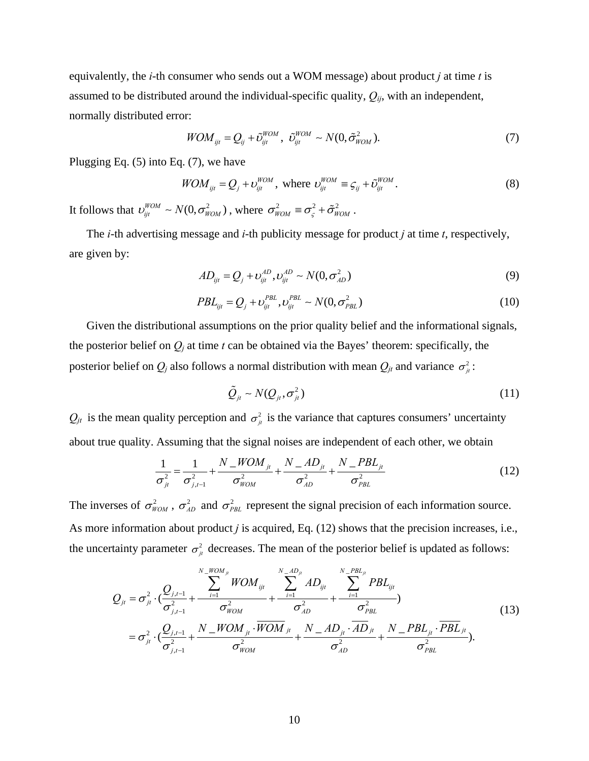equivalently, the *i*-th consumer who sends out a WOM message) about product *j* at time *t* is assumed to be distributed around the individual-specific quality,  $Q_{ij}$ , with an independent, normally distributed error:

$$
WOM_{ijt} = Q_{ij} + \tilde{\mathcal{O}}_{ijt}^{WOM}, \ \ \tilde{\mathcal{O}}_{ijt}^{WOM} \sim N(0, \tilde{\sigma}_{WOM}^2). \tag{7}
$$

<span id="page-10-0"></span>Plugging Eq. [\(5\)](#page-9-1) into Eq. [\(7\),](#page-10-0) we have

$$
WOM_{ijt} = Q_j + \upsilon_{ijt}^{WOM}, \text{ where } \upsilon_{ijt}^{WOM} \equiv \varsigma_{ij} + \tilde{\upsilon}_{ijt}^{WOM}.
$$
 (8)

It follows that  $v_{ijt}^{WOM} \sim N(0, \sigma_{WOM}^2)$ , where  $\sigma_{WOM}^2 \equiv \sigma_{\varsigma}^2 + \tilde{\sigma}_{WOM}^2$ .

The *i*-th advertising message and *i*-th publicity message for product *j* at time *t*, respectively, are given by:

$$
AD_{ijt} = Q_j + \nu_{ijt}^{AD}, \nu_{ijt}^{AD} \sim N(0, \sigma_{AD}^2)
$$
\n(9)

$$
PBL_{ijt} = Q_j + \nu_{ijt}^{PBL}, \nu_{ijt}^{PBL} \sim N(0, \sigma_{PBL}^2)
$$
\n(10)

Given the distributional assumptions on the prior quality belief and the informational signals, the posterior belief on  $Q_i$  at time  $t$  can be obtained via the Bayes' theorem: specifically, the posterior belief on  $Q_j$  also follows a normal distribution with mean  $Q_{jt}$  and variance  $\sigma_i^2$ :

$$
\tilde{Q}_{jt} \sim N(Q_{jt}, \sigma_{jt}^2)
$$
\n(11)

<span id="page-10-1"></span> $Q_{jt}$  is the mean quality perception and  $\sigma_{jt}^2$  is the variance that captures consumers' uncertainty about true quality. Assuming that the signal noises are independent of each other, we obtain

$$
\frac{1}{\sigma_{ji}^2} = \frac{1}{\sigma_{j,t-1}^2} + \frac{N_{-}WOM_{ji}}{\sigma_{WOM}^2} + \frac{N_{-}AD_{jt}}{\sigma_{AD}^2} + \frac{N_{-}PBL_{jt}}{\sigma_{PBL}^2}
$$
(12)

The inverses of  $\sigma_{WOM}^2$ ,  $\sigma_{AD}^2$  and  $\sigma_{PBL}^2$  represent the signal precision of each information source. As more information about product *j* is acquired, Eq. [\(12\)](#page-10-1) shows that the precision increases, i.e., the uncertainty parameter  $\sigma_{\mu}^2$  decreases. The mean of the posterior belief is updated as follows:

$$
Q_{ji} = \sigma_{ji}^{2} \cdot \left(\frac{Q_{j,t-1}}{\sigma_{j,t-1}^{2}} + \frac{\sum_{i=1}^{N-M_{Di}} WOM_{ijt}}{\sigma_{WOM}^{2}} + \frac{\sum_{i=1}^{N-M_{Di}} AD_{ijt}}{\sigma_{AD}^{2}} + \frac{\sum_{i=1}^{N-PBL_{ji}} PBL_{ijt}}{\sigma_{PBL}^{2}}\right) = \sigma_{ji}^{2} \cdot \left(\frac{Q_{j,t-1}}{\sigma_{j,t-1}^{2}} + \frac{N-MOM_{ji} \cdot \overline{WOM}_{ji}}{\sigma_{WOM}^{2}} + \frac{N-AD_{ji} \cdot \overline{AD}_{ji}}{\sigma_{AD}^{2}} + \frac{N-PBL_{ji} \cdot \overline{PBL}_{ji}}{\sigma_{PBL}^{2}}\right).
$$
\n(13)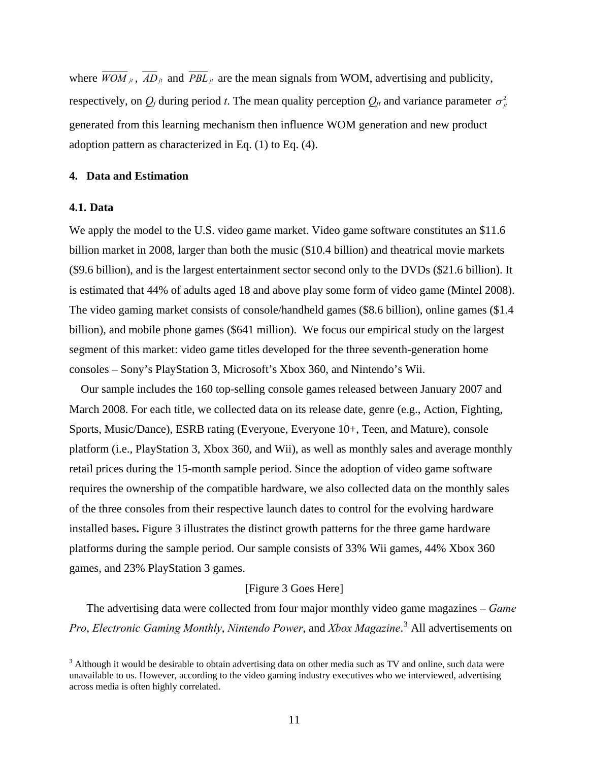where  $\overline{WOM}_{jt}$ ,  $AD_{jt}$  and  $PBL_{jt}$  are the mean signals from WOM, advertising and publicity, respectively, on  $Q_i$  during period *t*. The mean quality perception  $Q_{it}$  and variance parameter  $\sigma_i^2$ generated from this learning mechanism then influence WOM generation and new product adoption pattern as characterized in Eq. [\(1\)](#page-6-0) to Eq. [\(4\).](#page-8-1)

#### <span id="page-11-0"></span>**4. Data and Estimation**

#### **4.1. Data**

We apply the model to the U.S. video game market. Video game software constitutes an \$11.6 billion market in 2008, larger than both the music (\$10.4 billion) and theatrical movie markets (\$9.6 billion), and is the largest entertainment sector second only to the DVDs (\$21.6 billion). It is estimated that 44% of adults aged 18 and above play some form of video game (Mintel 2008). The video gaming market consists of console/handheld games (\$8.6 billion), online games (\$1.4 billion), and mobile phone games (\$641 million). We focus our empirical study on the largest segment of this market: video game titles developed for the three seventh-generation home consoles – Sony's PlayStation 3, Microsoft's Xbox 360, and Nintendo's Wii.

Our sample includes the 160 top-selling console games released between January 2007 and March 2008. For each title, we collected data on its release date, genre (e.g., Action, Fighting, Sports, Music/Dance), ESRB rating (Everyone, Everyone 10+, Teen, and Mature), console platform (i.e., PlayStation 3, Xbox 360, and Wii), as well as monthly sales and average monthly retail prices during the 15-month sample period. Since the adoption of video game software requires the ownership of the compatible hardware, we also collected data on the monthly sales of the three consoles from their respective launch dates to control for the evolving hardware installed bases**.** [Figure 3](#page-36-0) illustrates the distinct growth patterns for the three game hardware platforms during the sample period. Our sample consists of 33% Wii games, 44% Xbox 360 games, and 23% PlayStation 3 games.

#### [[Figure 3](#page-36-0) Goes Here]

The advertising data were collected from four major monthly video game magazines – *Game Pro*, *Electronic Gaming Monthly*, *Nintendo Power*, and *Xbox Magazine*. [3](#page-11-1) All advertisements on

<span id="page-11-1"></span> $3$  Although it would be desirable to obtain advertising data on other media such as TV and online, such data were unavailable to us. However, according to the video gaming industry executives who we interviewed, advertising across media is often highly correlated.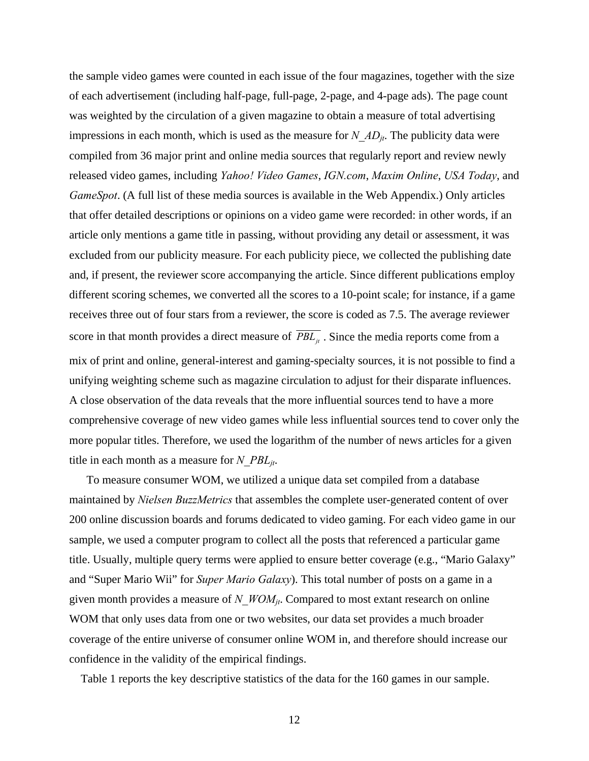the sample video games were counted in each issue of the four magazines, together with the size of each advertisement (including half-page, full-page, 2-page, and 4-page ads). The page count was weighted by the circulation of a given magazine to obtain a measure of total advertising impressions in each month, which is used as the measure for  $N$   $AD_{it}$ . The publicity data were compiled from 36 major print and online media sources that regularly report and review newly released video games, including *Yahoo! Video Games*, *IGN.com*, *Maxim Online*, *USA Today*, and *GameSpot*. (A full list of these media sources is available in the Web Appendix.) Only articles that offer detailed descriptions or opinions on a video game were recorded: in other words, if an article only mentions a game title in passing, without providing any detail or assessment, it was excluded from our publicity measure. For each publicity piece, we collected the publishing date and, if present, the reviewer score accompanying the article. Since different publications employ different scoring schemes, we converted all the scores to a 10-point scale; for instance, if a game receives three out of four stars from a reviewer, the score is coded as 7.5. The average reviewer score in that month provides a direct measure of  $\overline{PBL}_{\mu}$ . Since the media reports come from a mix of print and online, general-interest and gaming-specialty sources, it is not possible to find a unifying weighting scheme such as magazine circulation to adjust for their disparate influences. A close observation of the data reveals that the more influential sources tend to have a more comprehensive coverage of new video games while less influential sources tend to cover only the more popular titles. Therefore, we used the logarithm of the number of news articles for a given title in each month as a measure for *N\_PBLjt*.

To measure consumer WOM, we utilized a unique data set compiled from a database maintained by *Nielsen BuzzMetrics* that assembles the complete user-generated content of over 200 online discussion boards and forums dedicated to video gaming. For each video game in our sample, we used a computer program to collect all the posts that referenced a particular game title. Usually, multiple query terms were applied to ensure better coverage (e.g., "Mario Galaxy" and "Super Mario Wii" for *Super Mario Galaxy*). This total number of posts on a game in a given month provides a measure of *N\_WOM<sub>it</sub>*. Compared to most extant research on online WOM that only uses data from one or two websites, our data set provides a much broader coverage of the entire universe of consumer online WOM in, and therefore should increase our confidence in the validity of the empirical findings.

Table 1 reports the key descriptive statistics of the data for the 160 games in our sample.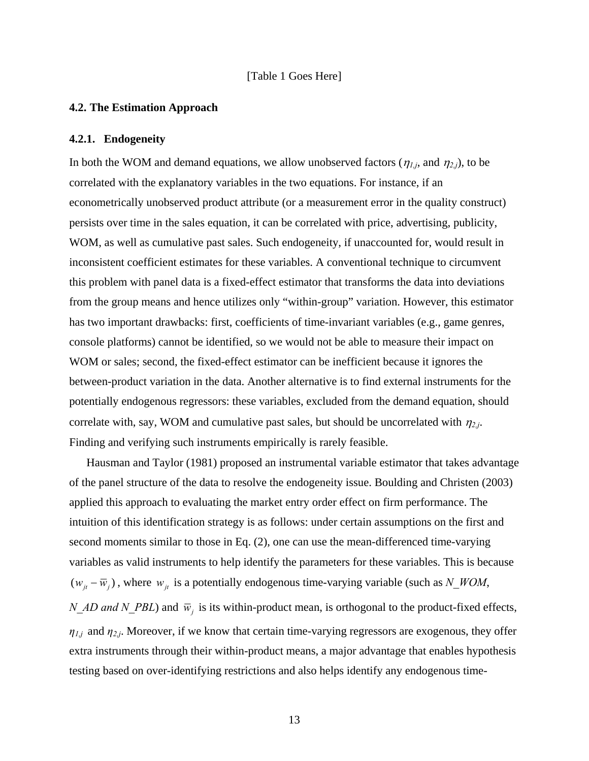#### [Table 1 Goes Here]

#### <span id="page-13-0"></span>**4.2. The Estimation Approach**

#### **4.2.1. Endogeneity**

In both the WOM and demand equations, we allow unobserved factors ( $\eta_{1,j}$ , and  $\eta_{2,j}$ ), to be correlated with the explanatory variables in the two equations. For instance, if an econometrically unobserved product attribute (or a measurement error in the quality construct) persists over time in the sales equation, it can be correlated with price, advertising, publicity, WOM, as well as cumulative past sales. Such endogeneity, if unaccounted for, would result in inconsistent coefficient estimates for these variables. A conventional technique to circumvent this problem with panel data is a fixed-effect estimator that transforms the data into deviations from the group means and hence utilizes only "within-group" variation. However, this estimator has two important drawbacks: first, coefficients of time-invariant variables (e.g., game genres, console platforms) cannot be identified, so we would not be able to measure their impact on WOM or sales; second, the fixed-effect estimator can be inefficient because it ignores the between-product variation in the data. Another alternative is to find external instruments for the potentially endogenous regressors: these variables, excluded from the demand equation, should correlate with, say, WOM and cumulative past sales, but should be uncorrelated with  $\eta_{2,i}$ . Finding and verifying such instruments empirically is rarely feasible.

Hausman and Taylor (1981) proposed an instrumental variable estimator that takes advantage of the panel structure of the data to resolve the endogeneity issue. Boulding and Christen (2003) applied this approach to evaluating the market entry order effect on firm performance. The intuition of this identification strategy is as follows: under certain assumptions on the first and second moments similar to those in Eq. [\(2\),](#page-7-0) one can use the mean-differenced time-varying variables as valid instruments to help identify the parameters for these variables. This is because  $(w_{it} - \overline{w}_{i})$ , where  $w_{it}$  is a potentially endogenous time-varying variable (such as *N\_WOM*, *N\_AD and N\_PBL*) and  $\bar{w}_i$  is its within-product mean, is orthogonal to the product-fixed effects,  $\eta_{1,j}$  and  $\eta_{2,j}$ . Moreover, if we know that certain time-varying regressors are exogenous, they offer extra instruments through their within-product means, a major advantage that enables hypothesis testing based on over-identifying restrictions and also helps identify any endogenous time-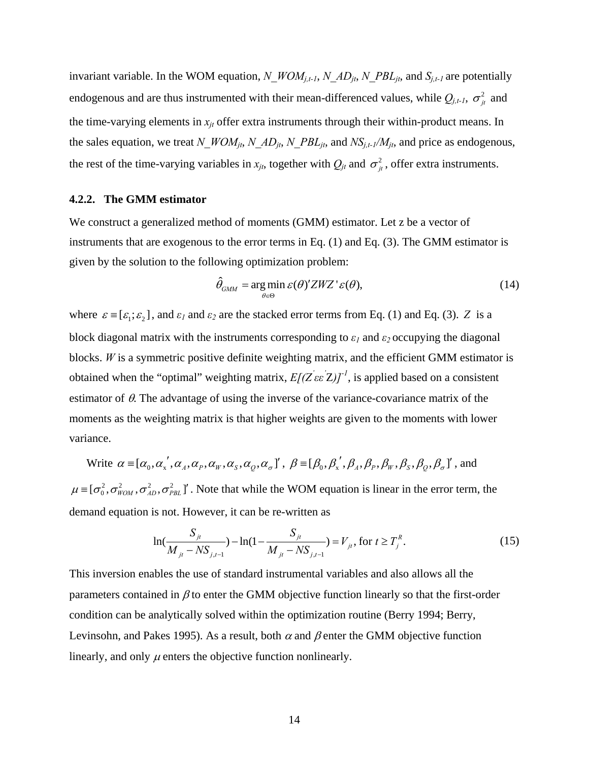invariant variable. In the WOM equation, *N\_WOMj,t-1*, *N\_ADjt*, *N\_PBLjt*, and *Sj,t-1* are potentially endogenous and are thus instrumented with their mean-differenced values, while  $Q_{j,t-1}$ ,  $\sigma_{jt}^2$  and the time-varying elements in  $x_{it}$  offer extra instruments through their within-product means. In the sales equation, we treat *N\_WOM<sub>jt</sub>*, *N\_AD<sub>jt</sub>*, *N\_PBL<sub>jt</sub>*, and *NS<sub>j,t-1</sub>/M<sub>jt</sub>*, and price as endogenous, the rest of the time-varying variables in  $x_{jt}$ , together with  $Q_{jt}$  and  $\sigma_{jt}^2$ , offer extra instruments.

#### **4.2.2. The GMM estimator**

We construct a generalized method of moments (GMM) estimator. Let z be a vector of instruments that are exogenous to the error terms in Eq. [\(1\)](#page-6-0) and Eq. [\(3\)](#page-8-0). The GMM estimator is given by the solution to the following optimization problem:

$$
\hat{\theta}_{GMM} = \underset{\theta \in \Theta}{\arg \min} \, \varepsilon(\theta)' ZWZ' \varepsilon(\theta), \tag{14}
$$

where  $\varepsilon = [\varepsilon_1; \varepsilon_2]$ , and  $\varepsilon_1$  and  $\varepsilon_2$  are the stacked error terms from Eq. [\(1\)](#page-6-0) and Eq. [\(3\)](#page-8-0). *Z* is a block diagonal matrix with the instruments corresponding to  $\varepsilon_1$  and  $\varepsilon_2$  occupying the diagonal blocks. *W* is a symmetric positive definite weighting matrix, and the efficient GMM estimator is obtained when the "optimal" weighting matrix,  $E[(Z' \epsilon Z)]^{-1}$ , is applied based on a consistent estimator of  $\theta$ . The advantage of using the inverse of the variance-covariance matrix of the moments as the weighting matrix is that higher weights are given to the moments with lower variance.

Write  $\alpha = [\alpha_0, \alpha'_x, \alpha_A, \alpha_P, \alpha_W, \alpha_S, \alpha_O, \alpha_\sigma]^T$ ,  $\beta = [\beta_0, \beta'_x, \beta_A, \beta_P, \beta_W, \beta_S, \beta_O, \beta_\sigma]^T$ , and  $\mu = [\sigma_0^2, \sigma_{WOM}^2, \sigma_{AB}^2, \sigma_{PBL}^2]$ '. Note that while the WOM equation is linear in the error term, the demand equation is not. However, it can be re-written as

$$
\ln(\frac{S_{jt}}{M_{jt} - NS_{j,t-1}}) - \ln(1 - \frac{S_{jt}}{M_{jt} - NS_{j,t-1}}) = V_{jt}, \text{ for } t \ge T_j^R.
$$
 (15)

This inversion enables the use of standard instrumental variables and also allows all the parameters contained in  $\beta$  to enter the GMM objective function linearly so that the first-order condition can be analytically solved within the optimization routine (Berry 1994; Berry, Levinsohn, and Pakes 1995). As a result, both  $\alpha$  and  $\beta$  enter the GMM objective function linearly, and only  $\mu$  enters the objective function nonlinearly.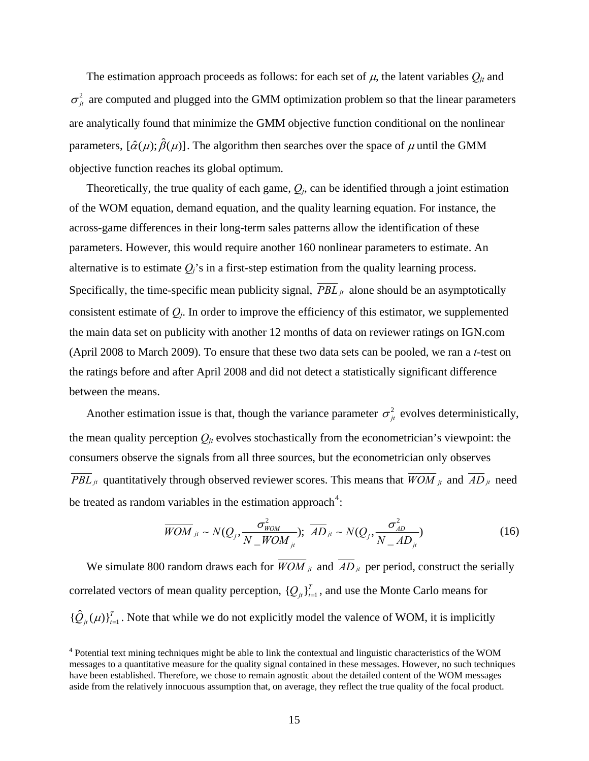The estimation approach proceeds as follows: for each set of  $\mu$ , the latent variables  $Q_{jt}$  and  $\sigma_{it}^2$  are computed and plugged into the GMM optimization problem so that the linear parameters are analytically found that minimize the GMM objective function conditional on the nonlinear parameters,  $[\hat{\alpha}(\mu);\hat{\beta}(\mu)]$ . The algorithm then searches over the space of  $\mu$  until the GMM objective function reaches its global optimum.

Theoretically, the true quality of each game,  $Q_i$ , can be identified through a joint estimation of the WOM equation, demand equation, and the quality learning equation. For instance, the across-game differences in their long-term sales patterns allow the identification of these parameters. However, this would require another 160 nonlinear parameters to estimate. An alternative is to estimate  $Q_i$ 's in a first-step estimation from the quality learning process. Specifically, the time-specific mean publicity signal,  $\overline{PBL}_{jt}$  alone should be an asymptotically consistent estimate of  $Q_i$ . In order to improve the efficiency of this estimator, we supplemented the main data set on publicity with another 12 months of data on reviewer ratings on IGN.com (April 2008 to March 2009). To ensure that these two data sets can be pooled, we ran a *t*-test on the ratings before and after April 2008 and did not detect a statistically significant difference between the means.

Another estimation issue is that, though the variance parameter  $\sigma_{it}^2$  evolves deterministically, the mean quality perception  $Q_{it}$  evolves stochastically from the econometrician's viewpoint: the consumers observe the signals from all three sources, but the econometrician only observes *PBL jt* quantitatively through observed reviewer scores. This means that  $\overline{WOM}$  *jt* and  $\overline{AD}$  *jt* need be treated as random variables in the estimation approach<sup>[4](#page-15-0)</sup>:

$$
\overline{WOM}_{jt} \sim N(Q_j, \frac{\sigma_{WOM}^2}{N_{-}WOM_{jt}}); \overline{AD}_{jt} \sim N(Q_j, \frac{\sigma_{AD}^2}{N_{-}AD_{jt}})
$$
\n(16)

We simulate 800 random draws each for  $\overline{WOM}_{jt}$  and  $\overline{AD}_{jt}$  per period, construct the serially correlated vectors of mean quality perception,  ${Q_{it}}_{t=1}^T$ , and use the Monte Carlo means for  $\{\hat{Q}_{it}(\mu)\}_{t=1}^T$ . Note that while we do not explicitly model the valence of WOM, it is implicitly

<span id="page-15-0"></span><sup>&</sup>lt;sup>4</sup> Potential text mining techniques might be able to link the contextual and linguistic characteristics of the WOM messages to a quantitative measure for the quality signal contained in these messages. However, no such techniques have been established. Therefore, we chose to remain agnostic about the detailed content of the WOM messages aside from the relatively innocuous assumption that, on average, they reflect the true quality of the focal product.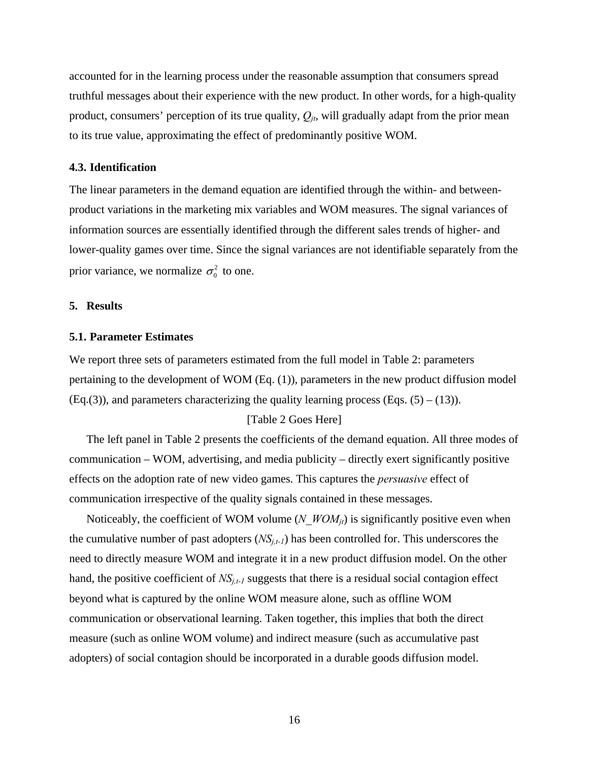accounted for in the learning process under the reasonable assumption that consumers spread truthful messages about their experience with the new product. In other words, for a high-quality product, consumers' perception of its true quality,  $Q_{it}$ , will gradually adapt from the prior mean to its true value, approximating the effect of predominantly positive WOM.

#### **4.3. Identification**

The linear parameters in the demand equation are identified through the within- and betweenproduct variations in the marketing mix variables and WOM measures. The signal variances of information sources are essentially identified through the different sales trends of higher- and lower-quality games over time. Since the signal variances are not identifiable separately from the prior variance, we normalize  $\sigma_0^2$  to one.

#### <span id="page-16-0"></span>**5. Results**

#### **5.1. Parameter Estimates**

We report three sets of parameters estimated from the full model in Table 2: parameters pertaining to the development of WOM (Eq. [\(1\)\)](#page-6-0), parameters in the new product diffusion model  $(Eq.3)$ , and parameters characterizing the quality learning process  $(Eqs. (5) - (13))$ .

#### [Table 2 Goes Here]

The left panel in Table 2 presents the coefficients of the demand equation. All three modes of communication – WOM, advertising, and media publicity – directly exert significantly positive effects on the adoption rate of new video games. This captures the *persuasive* effect of communication irrespective of the quality signals contained in these messages.

Noticeably, the coefficient of WOM volume ( $N$  WOM<sub>it</sub>) is significantly positive even when the cumulative number of past adopters  $(NS_{i,t-1})$  has been controlled for. This underscores the need to directly measure WOM and integrate it in a new product diffusion model. On the other hand, the positive coefficient of  $NS_{i,t-1}$  suggests that there is a residual social contagion effect beyond what is captured by the online WOM measure alone, such as offline WOM communication or observational learning. Taken together, this implies that both the direct measure (such as online WOM volume) and indirect measure (such as accumulative past adopters) of social contagion should be incorporated in a durable goods diffusion model.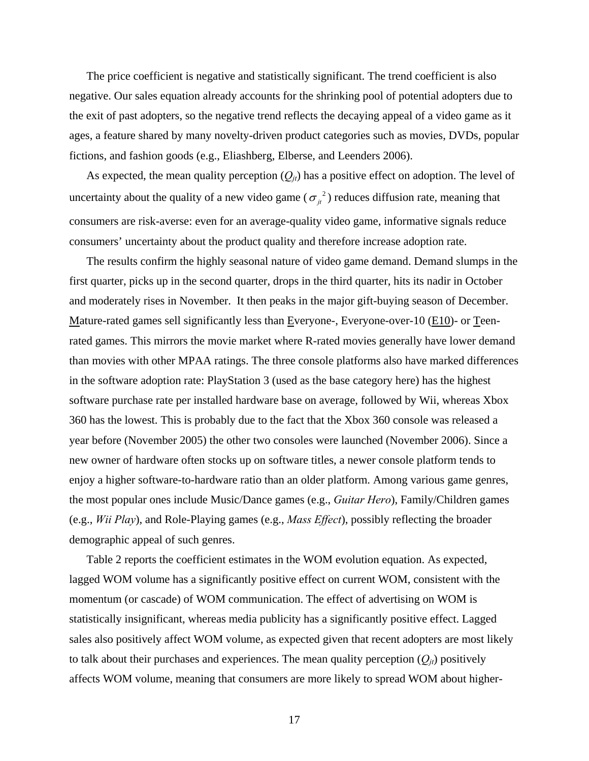The price coefficient is negative and statistically significant. The trend coefficient is also negative. Our sales equation already accounts for the shrinking pool of potential adopters due to the exit of past adopters, so the negative trend reflects the decaying appeal of a video game as it ages, a feature shared by many novelty-driven product categories such as movies, DVDs, popular fictions, and fashion goods (e.g., Eliashberg, Elberse, and Leenders 2006).

As expected, the mean quality perception  $(Q_{it})$  has a positive effect on adoption. The level of uncertainty about the quality of a new video game ( $\sigma_{i}^{2}$ ) reduces diffusion rate, meaning that consumers are risk-averse: even for an average-quality video game, informative signals reduce consumers' uncertainty about the product quality and therefore increase adoption rate.

The results confirm the highly seasonal nature of video game demand. Demand slumps in the first quarter, picks up in the second quarter, drops in the third quarter, hits its nadir in October and moderately rises in November. It then peaks in the major gift-buying season of December. Mature-rated games sell significantly less than Everyone-, Everyone-over-10 (E10)- or Teenrated games. This mirrors the movie market where R-rated movies generally have lower demand than movies with other MPAA ratings. The three console platforms also have marked differences in the software adoption rate: PlayStation 3 (used as the base category here) has the highest software purchase rate per installed hardware base on average, followed by Wii, whereas Xbox 360 has the lowest. This is probably due to the fact that the Xbox 360 console was released a year before (November 2005) the other two consoles were launched (November 2006). Since a new owner of hardware often stocks up on software titles, a newer console platform tends to enjoy a higher software-to-hardware ratio than an older platform. Among various game genres, the most popular ones include Music/Dance games (e.g., *Guitar Hero*), Family/Children games (e.g., *Wii Play*), and Role-Playing games (e.g., *Mass Effect*), possibly reflecting the broader demographic appeal of such genres.

Table 2 reports the coefficient estimates in the WOM evolution equation. As expected, lagged WOM volume has a significantly positive effect on current WOM, consistent with the momentum (or cascade) of WOM communication. The effect of advertising on WOM is statistically insignificant, whereas media publicity has a significantly positive effect. Lagged sales also positively affect WOM volume, as expected given that recent adopters are most likely to talk about their purchases and experiences. The mean quality perception  $(Q_{it})$  positively affects WOM volume, meaning that consumers are more likely to spread WOM about higher-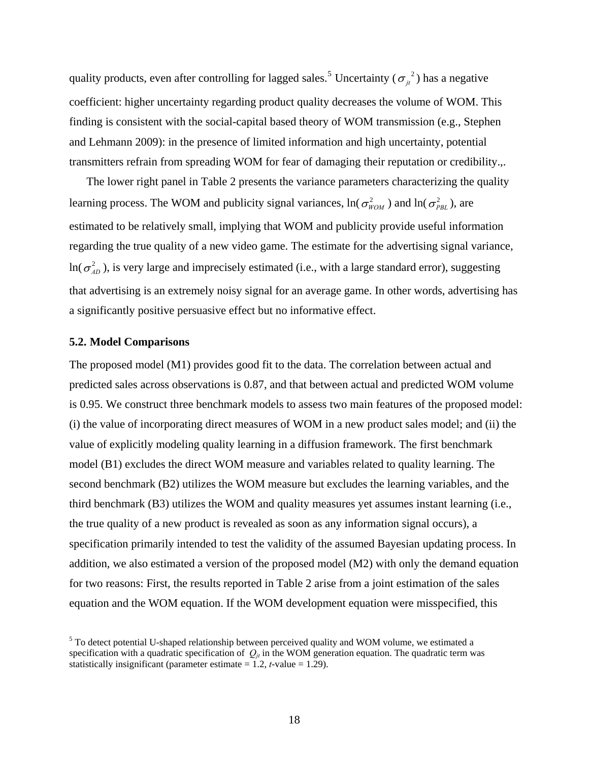quality products, even after controlling for lagged sales.<sup>[5](#page-18-0)</sup> Uncertainty ( $\sigma_{ji}^2$ ) has a negative coefficient: higher uncertainty regarding product quality decreases the volume of WOM. This finding is consistent with the social-capital based theory of WOM transmission (e.g., Stephen and Lehmann 2009): in the presence of limited information and high uncertainty, potential transmitters refrain from spreading WOM for fear of damaging their reputation or credibility.,.

The lower right panel in Table 2 presents the variance parameters characterizing the quality learning process. The WOM and publicity signal variances,  $ln(\sigma_{WOM}^2)$  and  $ln(\sigma_{PBL}^2)$ , are estimated to be relatively small, implying that WOM and publicity provide useful information regarding the true quality of a new video game. The estimate for the advertising signal variance,  $\ln(\sigma_{AD}^2)$ , is very large and imprecisely estimated (i.e., with a large standard error), suggesting that advertising is an extremely noisy signal for an average game. In other words, advertising has a significantly positive persuasive effect but no informative effect.

#### **5.2. Model Comparisons**

The proposed model (M1) provides good fit to the data. The correlation between actual and predicted sales across observations is 0.87, and that between actual and predicted WOM volume is 0.95. We construct three benchmark models to assess two main features of the proposed model: (i) the value of incorporating direct measures of WOM in a new product sales model; and (ii) the value of explicitly modeling quality learning in a diffusion framework. The first benchmark model (B1) excludes the direct WOM measure and variables related to quality learning. The second benchmark (B2) utilizes the WOM measure but excludes the learning variables, and the third benchmark (B3) utilizes the WOM and quality measures yet assumes instant learning (i.e., the true quality of a new product is revealed as soon as any information signal occurs), a specification primarily intended to test the validity of the assumed Bayesian updating process. In addition, we also estimated a version of the proposed model (M2) with only the demand equation for two reasons: First, the results reported in [Table 2](#page-32-0) arise from a joint estimation of the sales equation and the WOM equation. If the WOM development equation were misspecified, this

<span id="page-18-0"></span><sup>&</sup>lt;sup>5</sup> To detect potential U-shaped relationship between perceived quality and WOM volume, we estimated a specification with a quadratic specification of  $Q_{it}$  in the WOM generation equation. The quadratic term was statistically insignificant (parameter estimate  $= 1.2$ , *t*-value  $= 1.29$ ).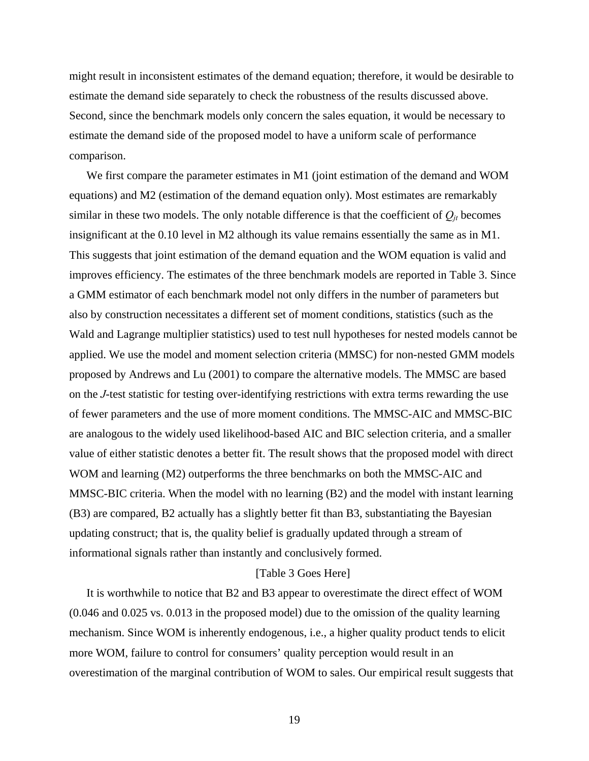might result in inconsistent estimates of the demand equation; therefore, it would be desirable to estimate the demand side separately to check the robustness of the results discussed above. Second, since the benchmark models only concern the sales equation, it would be necessary to estimate the demand side of the proposed model to have a uniform scale of performance comparison.

We first compare the parameter estimates in M1 (joint estimation of the demand and WOM equations) and M2 (estimation of the demand equation only). Most estimates are remarkably similar in these two models. The only notable difference is that the coefficient of  $Q_{jt}$  becomes insignificant at the 0.10 level in M2 although its value remains essentially the same as in M1. This suggests that joint estimation of the demand equation and the WOM equation is valid and improves efficiency. The estimates of the three benchmark models are reported in [Table 3.](#page-33-0) Since a GMM estimator of each benchmark model not only differs in the number of parameters but also by construction necessitates a different set of moment conditions, statistics (such as the Wald and Lagrange multiplier statistics) used to test null hypotheses for nested models cannot be applied. We use the model and moment selection criteria (MMSC) for non-nested GMM models proposed by Andrews and Lu (2001) to compare the alternative models. The MMSC are based on the *J*-test statistic for testing over-identifying restrictions with extra terms rewarding the use of fewer parameters and the use of more moment conditions. The MMSC-AIC and MMSC-BIC are analogous to the widely used likelihood-based AIC and BIC selection criteria, and a smaller value of either statistic denotes a better fit. The result shows that the proposed model with direct WOM and learning (M2) outperforms the three benchmarks on both the MMSC-AIC and MMSC-BIC criteria. When the model with no learning (B2) and the model with instant learning (B3) are compared, B2 actually has a slightly better fit than B3, substantiating the Bayesian updating construct; that is, the quality belief is gradually updated through a stream of informational signals rather than instantly and conclusively formed.

### [Table 3 Goes Here]

It is worthwhile to notice that B2 and B3 appear to overestimate the direct effect of WOM (0.046 and 0.025 vs. 0.013 in the proposed model) due to the omission of the quality learning mechanism. Since WOM is inherently endogenous, i.e., a higher quality product tends to elicit more WOM, failure to control for consumers' quality perception would result in an overestimation of the marginal contribution of WOM to sales. Our empirical result suggests that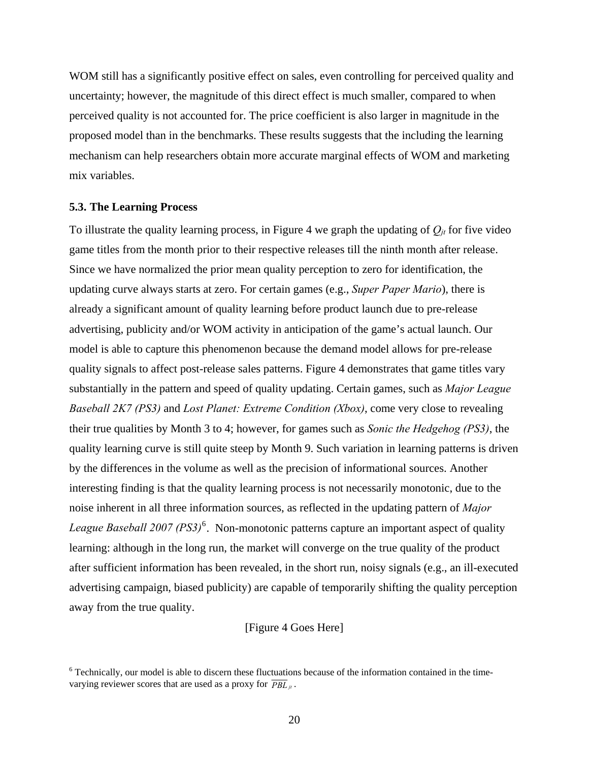WOM still has a significantly positive effect on sales, even controlling for perceived quality and uncertainty; however, the magnitude of this direct effect is much smaller, compared to when perceived quality is not accounted for. The price coefficient is also larger in magnitude in the proposed model than in the benchmarks. These results suggests that the including the learning mechanism can help researchers obtain more accurate marginal effects of WOM and marketing mix variables.

#### **5.3. The Learning Process**

To illustrate the quality learning process, in [Figure 4](#page-36-1) we graph the updating of  $Q_{jt}$  for five video game titles from the month prior to their respective releases till the ninth month after release. Since we have normalized the prior mean quality perception to zero for identification, the updating curve always starts at zero. For certain games (e.g., *Super Paper Mario*), there is already a significant amount of quality learning before product launch due to pre-release advertising, publicity and/or WOM activity in anticipation of the game's actual launch. Our model is able to capture this phenomenon because the demand model allows for pre-release quality signals to affect post-release sales patterns. [Figure 4](#page-36-1) demonstrates that game titles vary substantially in the pattern and speed of quality updating. Certain games, such as *Major League Baseball 2K7 (PS3)* and *Lost Planet: Extreme Condition (Xbox)*, come very close to revealing their true qualities by Month 3 to 4; however, for games such as *Sonic the Hedgehog (PS3)*, the quality learning curve is still quite steep by Month 9. Such variation in learning patterns is driven by the differences in the volume as well as the precision of informational sources. Another interesting finding is that the quality learning process is not necessarily monotonic, due to the noise inherent in all three information sources, as reflected in the updating pattern of *Major*  League Baseball 2007 (PS3)<sup>[6](#page-20-0)</sup>. Non-monotonic patterns capture an important aspect of quality learning: although in the long run, the market will converge on the true quality of the product after sufficient information has been revealed, in the short run, noisy signals (e.g., an ill-executed advertising campaign, biased publicity) are capable of temporarily shifting the quality perception away from the true quality.

#### [Figure 4 Goes Here]

<span id="page-20-0"></span><sup>&</sup>lt;sup>6</sup> Technically, our model is able to discern these fluctuations because of the information contained in the timevarying reviewer scores that are used as a proxy for  $\overline{PBL}_{it}$ .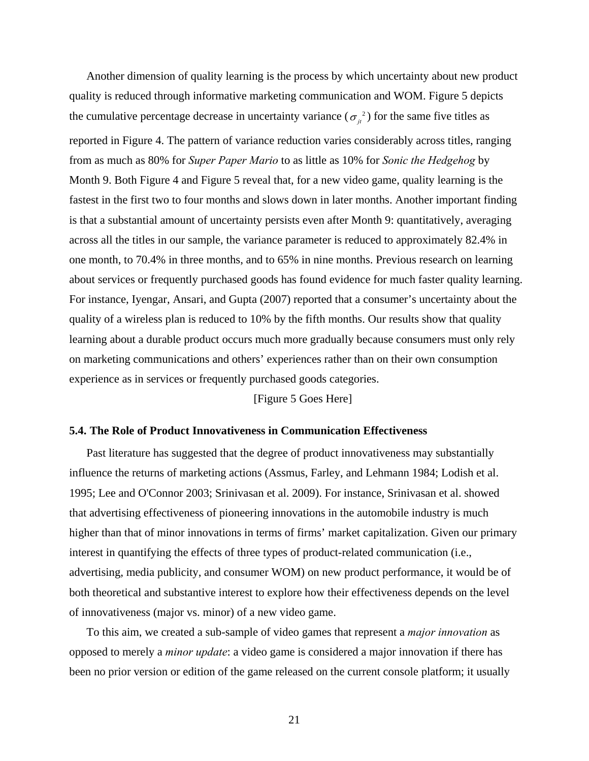Another dimension of quality learning is the process by which uncertainty about new product quality is reduced through informative marketing communication and WOM. [Figure 5](#page-36-2) depicts the cumulative percentage decrease in uncertainty variance ( $\sigma_{ij}^2$ ) for the same five titles as reported in [Figure 4.](#page-36-1) The pattern of variance reduction varies considerably across titles, ranging from as much as 80% for *Super Paper Mario* to as little as 10% for *Sonic the Hedgehog* by Month 9. Both [Figure 4](#page-36-1) and [Figure 5](#page-36-2) reveal that, for a new video game, quality learning is the fastest in the first two to four months and slows down in later months. Another important finding is that a substantial amount of uncertainty persists even after Month 9: quantitatively, averaging across all the titles in our sample, the variance parameter is reduced to approximately 82.4% in one month, to 70.4% in three months, and to 65% in nine months. Previous research on learning about services or frequently purchased goods has found evidence for much faster quality learning. For instance, Iyengar, Ansari, and Gupta (2007) reported that a consumer's uncertainty about the quality of a wireless plan is reduced to 10% by the fifth months. Our results show that quality learning about a durable product occurs much more gradually because consumers must only rely on marketing communications and others' experiences rather than on their own consumption experience as in services or frequently purchased goods categories.

[Figure 5 Goes Here]

#### **5.4. The Role of Product Innovativeness in Communication Effectiveness**

Past literature has suggested that the degree of product innovativeness may substantially influence the returns of marketing actions (Assmus, Farley, and Lehmann 1984; Lodish et al. 1995; Lee and O'Connor 2003; Srinivasan et al. 2009). For instance, Srinivasan et al. showed that advertising effectiveness of pioneering innovations in the automobile industry is much higher than that of minor innovations in terms of firms' market capitalization. Given our primary interest in quantifying the effects of three types of product-related communication (i.e., advertising, media publicity, and consumer WOM) on new product performance, it would be of both theoretical and substantive interest to explore how their effectiveness depends on the level of innovativeness (major vs. minor) of a new video game.

To this aim, we created a sub-sample of video games that represent a *major innovation* as opposed to merely a *minor update*: a video game is considered a major innovation if there has been no prior version or edition of the game released on the current console platform; it usually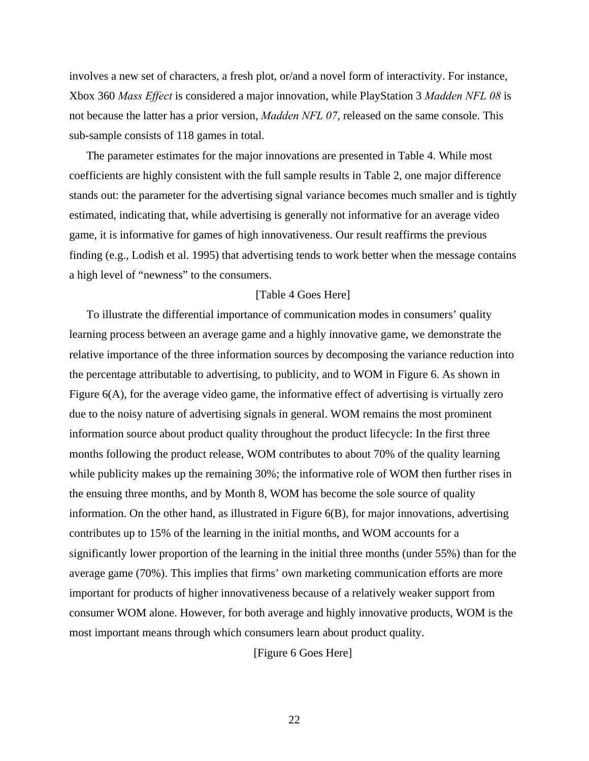involves a new set of characters, a fresh plot, or/and a novel form of interactivity. For instance, Xbox 360 *Mass Effect* is considered a major innovation, while PlayStation 3 *Madden NFL 08* is not because the latter has a prior version, *Madden NFL 07*, released on the same console. This sub-sample consists of 118 games in total.

The parameter estimates for the major innovations are presented in [Table 4](#page-34-0). While most coefficients are highly consistent with the full sample results in Table 2, one major difference stands out: the parameter for the advertising signal variance becomes much smaller and is tightly estimated, indicating that, while advertising is generally not informative for an average video game, it is informative for games of high innovativeness. Our result reaffirms the previous finding (e.g., Lodish et al. 1995) that advertising tends to work better when the message contains a high level of "newness" to the consumers.

#### [Table 4 Goes Here]

To illustrate the differential importance of communication modes in consumers' quality learning process between an average game and a highly innovative game, we demonstrate the relative importance of the three information sources by decomposing the variance reduction into the percentage attributable to advertising, to publicity, and to WOM in [Figure 6.](#page-37-0) As shown in [Figure 6](#page-37-0)(A), for the average video game, the informative effect of advertising is virtually zero due to the noisy nature of advertising signals in general. WOM remains the most prominent information source about product quality throughout the product lifecycle: In the first three months following the product release, WOM contributes to about 70% of the quality learning while publicity makes up the remaining 30%; the informative role of WOM then further rises in the ensuing three months, and by Month 8, WOM has become the sole source of quality information. On the other hand, as illustrated in [Figure 6\(](#page-37-0)B), for major innovations, advertising contributes up to 15% of the learning in the initial months, and WOM accounts for a significantly lower proportion of the learning in the initial three months (under 55%) than for the average game (70%). This implies that firms' own marketing communication efforts are more important for products of higher innovativeness because of a relatively weaker support from consumer WOM alone. However, for both average and highly innovative products, WOM is the most important means through which consumers learn about product quality.

[Figure 6 Goes Here]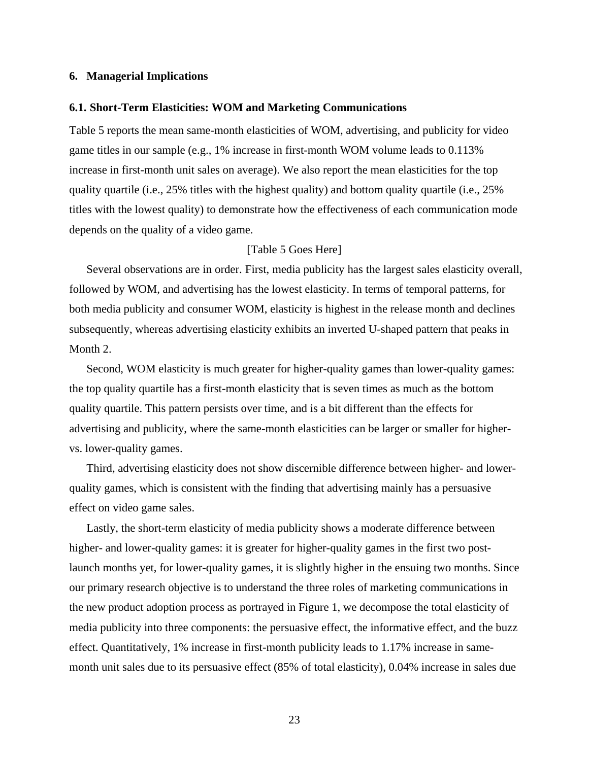### <span id="page-23-0"></span>**6. Managerial Implications**

#### **6.1. Short-Term Elasticities: WOM and Marketing Communications**

[Table 5](#page-34-1) reports the mean same-month elasticities of WOM, advertising, and publicity for video game titles in our sample (e.g., 1% increase in first-month WOM volume leads to 0.113% increase in first-month unit sales on average). We also report the mean elasticities for the top quality quartile (i.e., 25% titles with the highest quality) and bottom quality quartile (i.e., 25% titles with the lowest quality) to demonstrate how the effectiveness of each communication mode depends on the quality of a video game.

#### [Table 5 Goes Here]

Several observations are in order. First, media publicity has the largest sales elasticity overall, followed by WOM, and advertising has the lowest elasticity. In terms of temporal patterns, for both media publicity and consumer WOM, elasticity is highest in the release month and declines subsequently, whereas advertising elasticity exhibits an inverted U-shaped pattern that peaks in Month 2.

Second, WOM elasticity is much greater for higher-quality games than lower-quality games: the top quality quartile has a first-month elasticity that is seven times as much as the bottom quality quartile. This pattern persists over time, and is a bit different than the effects for advertising and publicity, where the same-month elasticities can be larger or smaller for highervs. lower-quality games.

Third, advertising elasticity does not show discernible difference between higher- and lowerquality games, which is consistent with the finding that advertising mainly has a persuasive effect on video game sales.

Lastly, the short-term elasticity of media publicity shows a moderate difference between higher- and lower-quality games: it is greater for higher-quality games in the first two postlaunch months yet, for lower-quality games, it is slightly higher in the ensuing two months. Since our primary research objective is to understand the three roles of marketing communications in the new product adoption process as portrayed in [Figure 1,](#page-35-0) we decompose the total elasticity of media publicity into three components: the persuasive effect, the informative effect, and the buzz effect. Quantitatively, 1% increase in first-month publicity leads to 1.17% increase in samemonth unit sales due to its persuasive effect (85% of total elasticity), 0.04% increase in sales due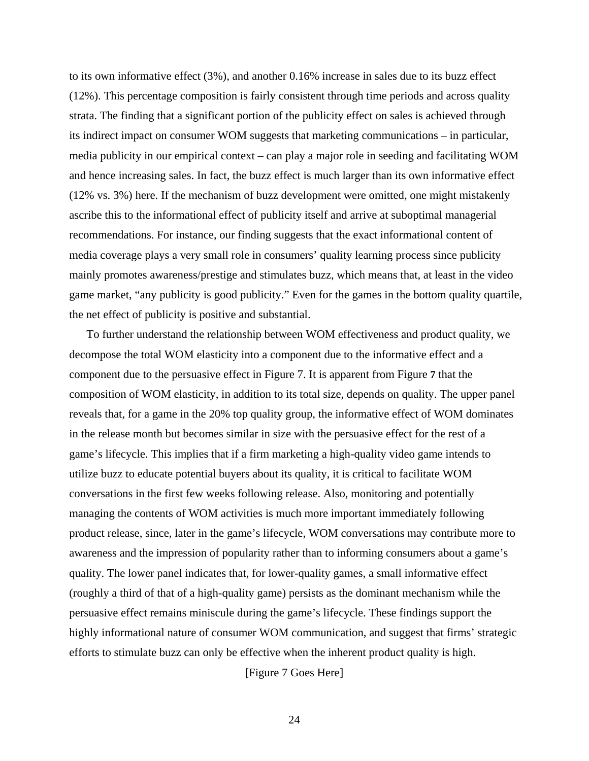to its own informative effect (3%), and another 0.16% increase in sales due to its buzz effect (12%). This percentage composition is fairly consistent through time periods and across quality strata. The finding that a significant portion of the publicity effect on sales is achieved through its indirect impact on consumer WOM suggests that marketing communications – in particular, media publicity in our empirical context – can play a major role in seeding and facilitating WOM and hence increasing sales. In fact, the buzz effect is much larger than its own informative effect (12% vs. 3%) here. If the mechanism of buzz development were omitted, one might mistakenly ascribe this to the informational effect of publicity itself and arrive at suboptimal managerial recommendations. For instance, our finding suggests that the exact informational content of media coverage plays a very small role in consumers' quality learning process since publicity mainly promotes awareness/prestige and stimulates buzz, which means that, at least in the video game market, "any publicity is good publicity." Even for the games in the bottom quality quartile, the net effect of publicity is positive and substantial.

To further understand the relationship between WOM effectiveness and product quality, we decompose the total WOM elasticity into a component due to the informative effect and a component due to the persuasive effect in [Figure 7](#page-38-0). It is apparent from [Figure](#page-38-0) **7** that the composition of WOM elasticity, in addition to its total size, depends on quality. The upper panel reveals that, for a game in the 20% top quality group, the informative effect of WOM dominates in the release month but becomes similar in size with the persuasive effect for the rest of a game's lifecycle. This implies that if a firm marketing a high-quality video game intends to utilize buzz to educate potential buyers about its quality, it is critical to facilitate WOM conversations in the first few weeks following release. Also, monitoring and potentially managing the contents of WOM activities is much more important immediately following product release, since, later in the game's lifecycle, WOM conversations may contribute more to awareness and the impression of popularity rather than to informing consumers about a game's quality. The lower panel indicates that, for lower-quality games, a small informative effect (roughly a third of that of a high-quality game) persists as the dominant mechanism while the persuasive effect remains miniscule during the game's lifecycle. These findings support the highly informational nature of consumer WOM communication, and suggest that firms' strategic efforts to stimulate buzz can only be effective when the inherent product quality is high.

[Figure 7 Goes Here]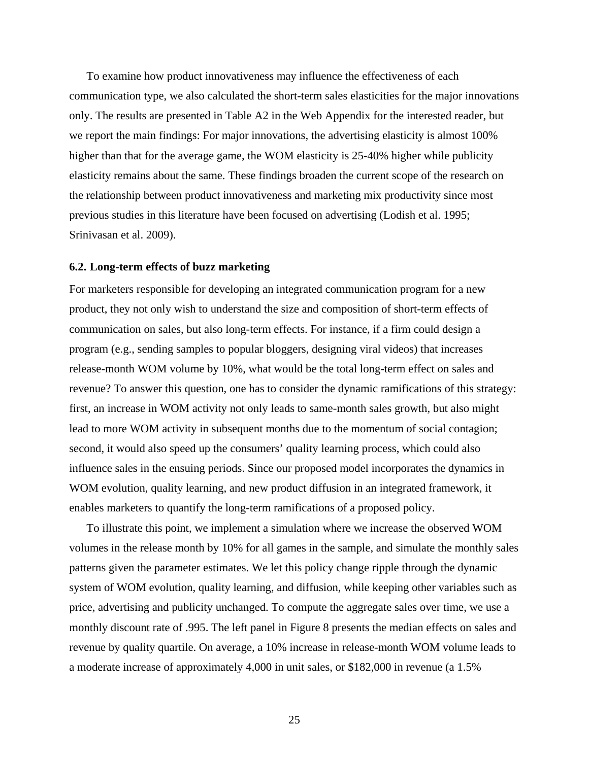To examine how product innovativeness may influence the effectiveness of each communication type, we also calculated the short-term sales elasticities for the major innovations only. The results are presented in Table A2 in the Web Appendix for the interested reader, but we report the main findings: For major innovations, the advertising elasticity is almost 100% higher than that for the average game, the WOM elasticity is 25-40% higher while publicity elasticity remains about the same. These findings broaden the current scope of the research on the relationship between product innovativeness and marketing mix productivity since most previous studies in this literature have been focused on advertising (Lodish et al. 1995; Srinivasan et al. 2009).

#### **6.2. Long-term effects of buzz marketing**

For marketers responsible for developing an integrated communication program for a new product, they not only wish to understand the size and composition of short-term effects of communication on sales, but also long-term effects. For instance, if a firm could design a program (e.g., sending samples to popular bloggers, designing viral videos) that increases release-month WOM volume by 10%, what would be the total long-term effect on sales and revenue? To answer this question, one has to consider the dynamic ramifications of this strategy: first, an increase in WOM activity not only leads to same-month sales growth, but also might lead to more WOM activity in subsequent months due to the momentum of social contagion; second, it would also speed up the consumers' quality learning process, which could also influence sales in the ensuing periods. Since our proposed model incorporates the dynamics in WOM evolution, quality learning, and new product diffusion in an integrated framework, it enables marketers to quantify the long-term ramifications of a proposed policy.

To illustrate this point, we implement a simulation where we increase the observed WOM volumes in the release month by 10% for all games in the sample, and simulate the monthly sales patterns given the parameter estimates. We let this policy change ripple through the dynamic system of WOM evolution, quality learning, and diffusion, while keeping other variables such as price, advertising and publicity unchanged. To compute the aggregate sales over time, we use a monthly discount rate of .995. The left panel in [Figure 8](#page-39-0) presents the median effects on sales and revenue by quality quartile. On average, a 10% increase in release-month WOM volume leads to a moderate increase of approximately 4,000 in unit sales, or \$182,000 in revenue (a 1.5%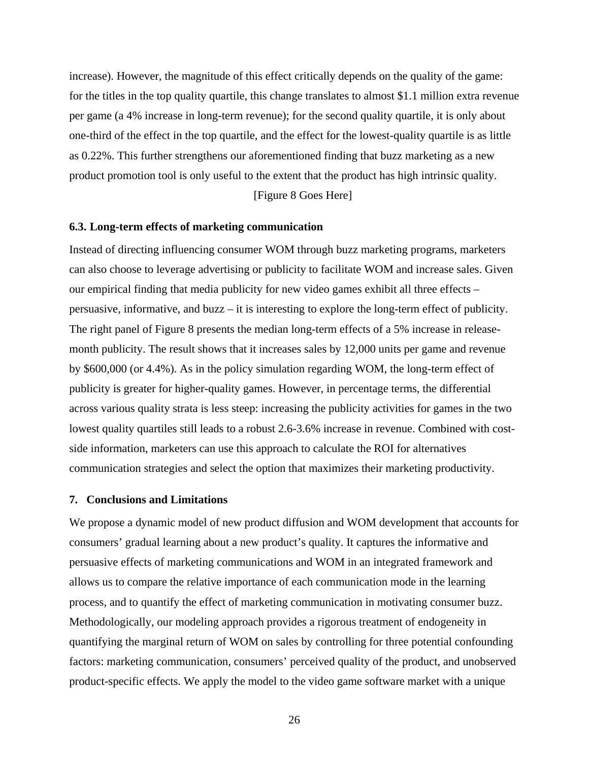increase). However, the magnitude of this effect critically depends on the quality of the game: for the titles in the top quality quartile, this change translates to almost \$1.1 million extra revenue per game (a 4% increase in long-term revenue); for the second quality quartile, it is only about one-third of the effect in the top quartile, and the effect for the lowest-quality quartile is as little as 0.22%. This further strengthens our aforementioned finding that buzz marketing as a new product promotion tool is only useful to the extent that the product has high intrinsic quality.

[Figure 8 Goes Here]

#### **6.3. Long-term effects of marketing communication**

Instead of directing influencing consumer WOM through buzz marketing programs, marketers can also choose to leverage advertising or publicity to facilitate WOM and increase sales. Given our empirical finding that media publicity for new video games exhibit all three effects – persuasive, informative, and buzz – it is interesting to explore the long-term effect of publicity. The right panel of [Figure 8](#page-39-0) presents the median long-term effects of a 5% increase in releasemonth publicity. The result shows that it increases sales by 12,000 units per game and revenue by \$600,000 (or 4.4%). As in the policy simulation regarding WOM, the long-term effect of publicity is greater for higher-quality games. However, in percentage terms, the differential across various quality strata is less steep: increasing the publicity activities for games in the two lowest quality quartiles still leads to a robust 2.6-3.6% increase in revenue. Combined with costside information, marketers can use this approach to calculate the ROI for alternatives communication strategies and select the option that maximizes their marketing productivity.

#### <span id="page-26-0"></span>**7. Conclusions and Limitations**

We propose a dynamic model of new product diffusion and WOM development that accounts for consumers' gradual learning about a new product's quality. It captures the informative and persuasive effects of marketing communications and WOM in an integrated framework and allows us to compare the relative importance of each communication mode in the learning process, and to quantify the effect of marketing communication in motivating consumer buzz. Methodologically, our modeling approach provides a rigorous treatment of endogeneity in quantifying the marginal return of WOM on sales by controlling for three potential confounding factors: marketing communication, consumers' perceived quality of the product, and unobserved product-specific effects. We apply the model to the video game software market with a unique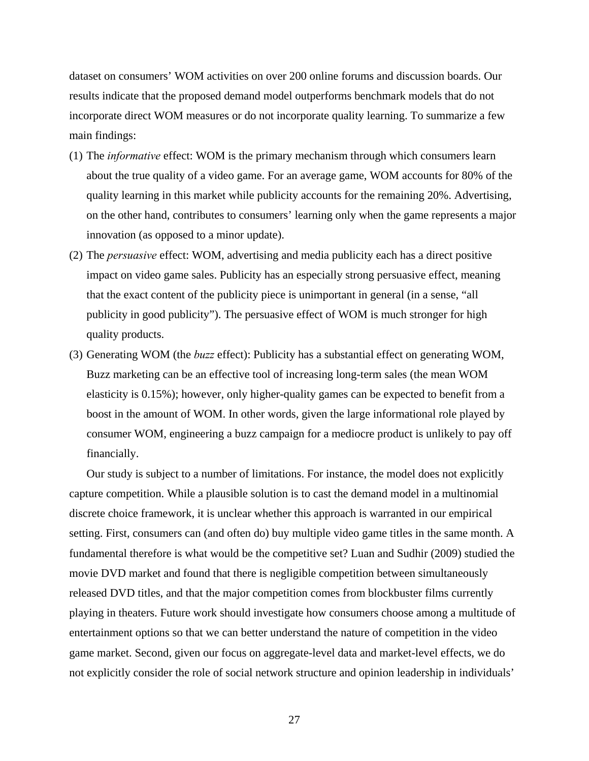dataset on consumers' WOM activities on over 200 online forums and discussion boards. Our results indicate that the proposed demand model outperforms benchmark models that do not incorporate direct WOM measures or do not incorporate quality learning. To summarize a few main findings:

- (1) The *informative* effect: WOM is the primary mechanism through which consumers learn about the true quality of a video game. For an average game, WOM accounts for 80% of the quality learning in this market while publicity accounts for the remaining 20%. Advertising, on the other hand, contributes to consumers' learning only when the game represents a major innovation (as opposed to a minor update).
- (2) The *persuasive* effect: WOM, advertising and media publicity each has a direct positive impact on video game sales. Publicity has an especially strong persuasive effect, meaning that the exact content of the publicity piece is unimportant in general (in a sense, "all publicity in good publicity"). The persuasive effect of WOM is much stronger for high quality products.
- (3) Generating WOM (the *buzz* effect): Publicity has a substantial effect on generating WOM, Buzz marketing can be an effective tool of increasing long-term sales (the mean WOM elasticity is 0.15%); however, only higher-quality games can be expected to benefit from a boost in the amount of WOM. In other words, given the large informational role played by consumer WOM, engineering a buzz campaign for a mediocre product is unlikely to pay off financially.

Our study is subject to a number of limitations. For instance, the model does not explicitly capture competition. While a plausible solution is to cast the demand model in a multinomial discrete choice framework, it is unclear whether this approach is warranted in our empirical setting. First, consumers can (and often do) buy multiple video game titles in the same month. A fundamental therefore is what would be the competitive set? Luan and Sudhir (2009) studied the movie DVD market and found that there is negligible competition between simultaneously released DVD titles, and that the major competition comes from blockbuster films currently playing in theaters. Future work should investigate how consumers choose among a multitude of entertainment options so that we can better understand the nature of competition in the video game market. Second, given our focus on aggregate-level data and market-level effects, we do not explicitly consider the role of social network structure and opinion leadership in individuals'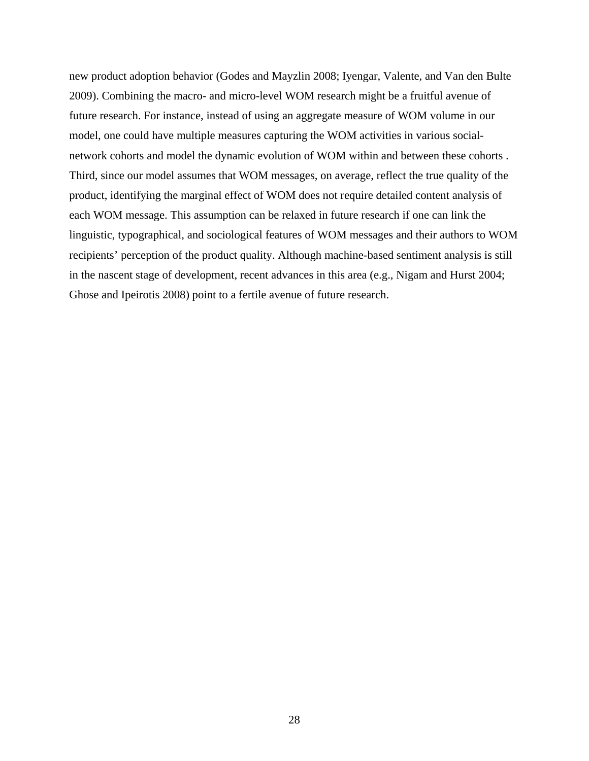new product adoption behavior (Godes and Mayzlin 2008; Iyengar, Valente, and Van den Bulte 2009). Combining the macro- and micro-level WOM research might be a fruitful avenue of future research. For instance, instead of using an aggregate measure of WOM volume in our model, one could have multiple measures capturing the WOM activities in various socialnetwork cohorts and model the dynamic evolution of WOM within and between these cohorts . Third, since our model assumes that WOM messages, on average, reflect the true quality of the product, identifying the marginal effect of WOM does not require detailed content analysis of each WOM message. This assumption can be relaxed in future research if one can link the linguistic, typographical, and sociological features of WOM messages and their authors to WOM recipients' perception of the product quality. Although machine-based sentiment analysis is still in the nascent stage of development, recent advances in this area (e.g., Nigam and Hurst 2004; Ghose and Ipeirotis 2008) point to a fertile avenue of future research.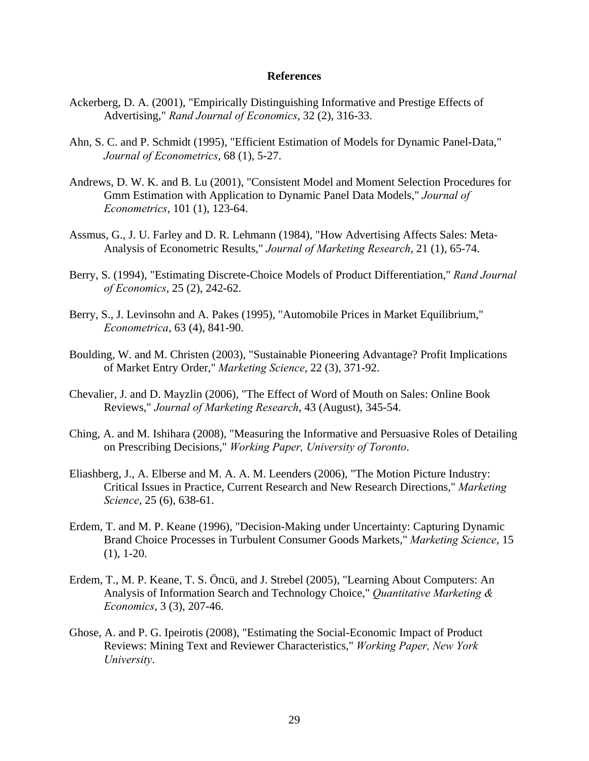#### **References**

- Ackerberg, D. A. (2001), "Empirically Distinguishing Informative and Prestige Effects of Advertising," *Rand Journal of Economics*, 32 (2), 316-33.
- Ahn, S. C. and P. Schmidt (1995), "Efficient Estimation of Models for Dynamic Panel-Data," *Journal of Econometrics*, 68 (1), 5-27.
- Andrews, D. W. K. and B. Lu (2001), "Consistent Model and Moment Selection Procedures for Gmm Estimation with Application to Dynamic Panel Data Models," *Journal of Econometrics*, 101 (1), 123-64.
- Assmus, G., J. U. Farley and D. R. Lehmann (1984), "How Advertising Affects Sales: Meta-Analysis of Econometric Results," *Journal of Marketing Research*, 21 (1), 65-74.
- Berry, S. (1994), "Estimating Discrete-Choice Models of Product Differentiation," *Rand Journal of Economics*, 25 (2), 242-62.
- Berry, S., J. Levinsohn and A. Pakes (1995), "Automobile Prices in Market Equilibrium," *Econometrica*, 63 (4), 841-90.
- Boulding, W. and M. Christen (2003), "Sustainable Pioneering Advantage? Profit Implications of Market Entry Order," *Marketing Science*, 22 (3), 371-92.
- Chevalier, J. and D. Mayzlin (2006), "The Effect of Word of Mouth on Sales: Online Book Reviews," *Journal of Marketing Research*, 43 (August), 345-54.
- Ching, A. and M. Ishihara (2008), "Measuring the Informative and Persuasive Roles of Detailing on Prescribing Decisions," *Working Paper, University of Toronto*.
- Eliashberg, J., A. Elberse and M. A. A. M. Leenders (2006), "The Motion Picture Industry: Critical Issues in Practice, Current Research and New Research Directions," *Marketing Science*, 25 (6), 638-61.
- Erdem, T. and M. P. Keane (1996), "Decision-Making under Uncertainty: Capturing Dynamic Brand Choice Processes in Turbulent Consumer Goods Markets," *Marketing Science*, 15 (1), 1-20.
- Erdem, T., M. P. Keane, T. S. Öncü, and J. Strebel (2005), "Learning About Computers: An Analysis of Information Search and Technology Choice," *Quantitative Marketing & Economics*, 3 (3), 207-46.
- Ghose, A. and P. G. Ipeirotis (2008), "Estimating the Social-Economic Impact of Product Reviews: Mining Text and Reviewer Characteristics," *Working Paper, New York University*.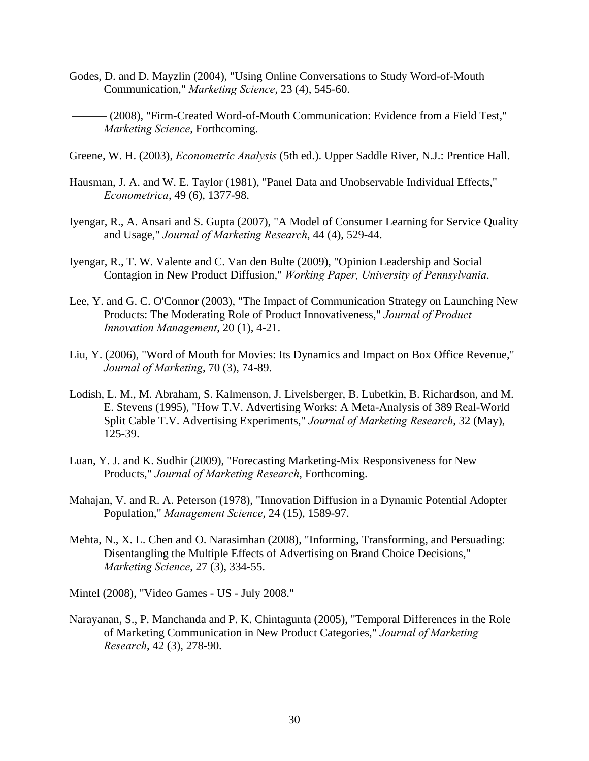- Godes, D. and D. Mayzlin (2004), "Using Online Conversations to Study Word-of-Mouth Communication," *Marketing Science*, 23 (4), 545-60.
- ——— (2008), "Firm-Created Word-of-Mouth Communication: Evidence from a Field Test," *Marketing Science*, Forthcoming.
- Greene, W. H. (2003), *Econometric Analysis* (5th ed.). Upper Saddle River, N.J.: Prentice Hall.
- Hausman, J. A. and W. E. Taylor (1981), "Panel Data and Unobservable Individual Effects," *Econometrica*, 49 (6), 1377-98.
- Iyengar, R., A. Ansari and S. Gupta (2007), "A Model of Consumer Learning for Service Quality and Usage," *Journal of Marketing Research*, 44 (4), 529-44.
- Iyengar, R., T. W. Valente and C. Van den Bulte (2009), "Opinion Leadership and Social Contagion in New Product Diffusion," *Working Paper, University of Pennsylvania*.
- Lee, Y. and G. C. O'Connor (2003), "The Impact of Communication Strategy on Launching New Products: The Moderating Role of Product Innovativeness," *Journal of Product Innovation Management*, 20 (1), 4-21.
- Liu, Y. (2006), "Word of Mouth for Movies: Its Dynamics and Impact on Box Office Revenue," *Journal of Marketing*, 70 (3), 74-89.
- Lodish, L. M., M. Abraham, S. Kalmenson, J. Livelsberger, B. Lubetkin, B. Richardson, and M. E. Stevens (1995), "How T.V. Advertising Works: A Meta-Analysis of 389 Real-World Split Cable T.V. Advertising Experiments," *Journal of Marketing Research*, 32 (May), 125-39.
- Luan, Y. J. and K. Sudhir (2009), "Forecasting Marketing-Mix Responsiveness for New Products," *Journal of Marketing Research*, Forthcoming.
- Mahajan, V. and R. A. Peterson (1978), "Innovation Diffusion in a Dynamic Potential Adopter Population," *Management Science*, 24 (15), 1589-97.
- Mehta, N., X. L. Chen and O. Narasimhan (2008), "Informing, Transforming, and Persuading: Disentangling the Multiple Effects of Advertising on Brand Choice Decisions," *Marketing Science*, 27 (3), 334-55.
- Mintel (2008), "Video Games US July 2008."
- Narayanan, S., P. Manchanda and P. K. Chintagunta (2005), "Temporal Differences in the Role of Marketing Communication in New Product Categories," *Journal of Marketing Research*, 42 (3), 278-90.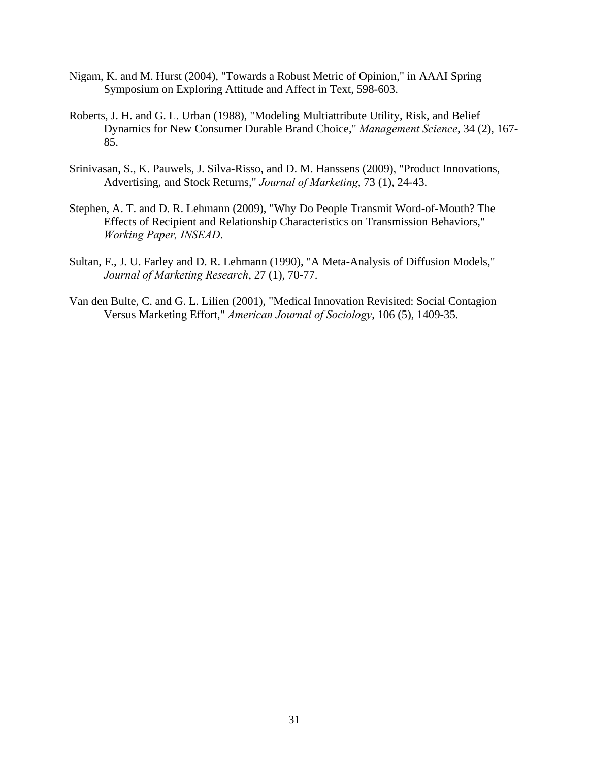- Nigam, K. and M. Hurst (2004), "Towards a Robust Metric of Opinion," in AAAI Spring Symposium on Exploring Attitude and Affect in Text, 598-603.
- Roberts, J. H. and G. L. Urban (1988), "Modeling Multiattribute Utility, Risk, and Belief Dynamics for New Consumer Durable Brand Choice," *Management Science*, 34 (2), 167- 85.
- Srinivasan, S., K. Pauwels, J. Silva-Risso, and D. M. Hanssens (2009), "Product Innovations, Advertising, and Stock Returns," *Journal of Marketing*, 73 (1), 24-43.
- Stephen, A. T. and D. R. Lehmann (2009), "Why Do People Transmit Word-of-Mouth? The Effects of Recipient and Relationship Characteristics on Transmission Behaviors," *Working Paper, INSEAD*.
- Sultan, F., J. U. Farley and D. R. Lehmann (1990), "A Meta-Analysis of Diffusion Models," *Journal of Marketing Research*, 27 (1), 70-77.
- Van den Bulte, C. and G. L. Lilien (2001), "Medical Innovation Revisited: Social Contagion Versus Marketing Effort," *American Journal of Sociology*, 106 (5), 1409-35.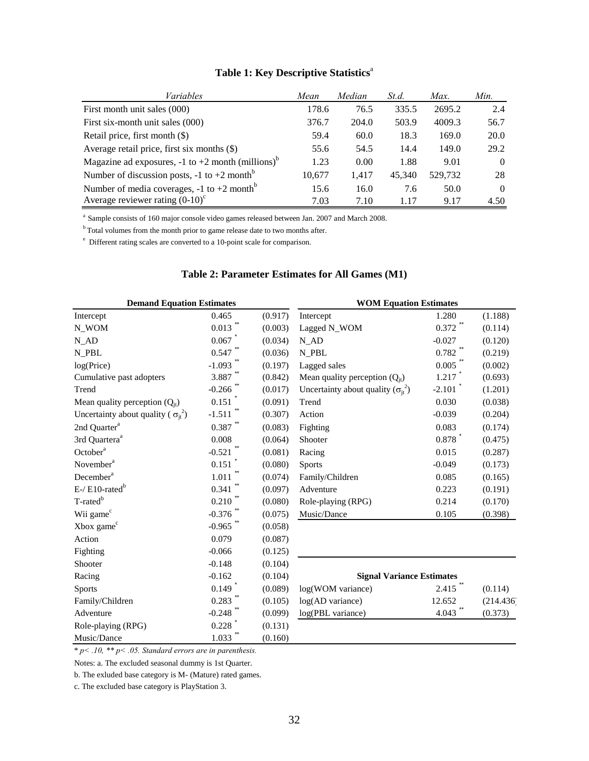| Variables                                                         | Mean   | Median | St.d.  | Max.    | Min.     |
|-------------------------------------------------------------------|--------|--------|--------|---------|----------|
| First month unit sales (000)                                      | 178.6  | 76.5   | 335.5  | 2695.2  | 2.4      |
| First six-month unit sales (000)                                  | 376.7  | 204.0  | 503.9  | 4009.3  | 56.7     |
| Retail price, first month (\$)                                    | 59.4   | 60.0   | 18.3   | 169.0   | 20.0     |
| Average retail price, first six months (\$)                       | 55.6   | 54.5   | 14.4   | 149.0   | 29.2     |
| Magazine ad exposures, $-1$ to $+2$ month (millions) <sup>b</sup> | 1.23   | 0.00   | 1.88   | 9.01    | $\Omega$ |
| Number of discussion posts, $-1$ to $+2$ month <sup>b</sup>       | 10.677 | 1.417  | 45.340 | 529,732 | 28       |
| Number of media coverages, $-1$ to $+2$ month <sup>b</sup>        | 15.6   | 16.0   | 7.6    | 50.0    | $\Omega$ |
| Average reviewer rating $(0-10)^c$                                | 7.03   | 7.10   | 1 1 7  | 9.17    | 4.50     |

## **Table 1: Key Descriptive Statistics**<sup>a</sup>

<sup>a</sup> Sample consists of 160 major console video games released between Jan. 2007 and March 2008.

<sup>b</sup> Total volumes from the month prior to game release date to two months after.

e Different rating scales are converted to a 10-point scale for comparison.

#### **Table 2: Parameter Estimates for All Games (M1)**

<span id="page-32-0"></span>

| <b>Demand Equation Estimates</b>              |                       |         | <b>WOM Equation Estimates</b>               |          |           |  |
|-----------------------------------------------|-----------------------|---------|---------------------------------------------|----------|-----------|--|
| Intercept                                     | 0.465                 | (0.917) | Intercept                                   | 1.280    | (1.188)   |  |
| N_WOM                                         | 0.013                 | (0.003) | Lagged N_WOM                                | 0.372    | (0.114)   |  |
| $N$ <sub>_AD</sub>                            | 0.067                 | (0.034) | $N$ <sub>_AD</sub>                          | $-0.027$ | (0.120)   |  |
| N_PBL                                         | 0.547                 | (0.036) | N PBL                                       | 0.782    | (0.219)   |  |
| log(Price)                                    | $-1.093$              | (0.197) | Lagged sales                                | 0.005    | (0.002)   |  |
| Cumulative past adopters                      | 3.887                 | (0.842) | Mean quality perception $(Q_{it})$          | 1.217    | (0.693)   |  |
| Trend                                         | $-0.266$              | (0.017) | Uncertainty about quality $(\sigma_{it}^2)$ | $-2.101$ | (1.201)   |  |
| Mean quality perception $(Q_{it})$            | 0.151                 | (0.091) | Trend                                       | 0.030    | (0.038)   |  |
| Uncertainty about quality ( $\sigma_{it}^2$ ) | $-1.511$              | (0.307) | Action                                      | $-0.039$ | (0.204)   |  |
| 2nd Quarter <sup>a</sup>                      | $0.387$ <sup>**</sup> | (0.083) | Fighting                                    | 0.083    | (0.174)   |  |
| 3rd Quartera <sup>a</sup>                     | 0.008                 | (0.064) | Shooter                                     | 0.878    | (0.475)   |  |
| October <sup>a</sup>                          | $-0.521$              | (0.081) | Racing                                      | 0.015    | (0.287)   |  |
| November <sup>a</sup>                         | 0.151                 | (0.080) | <b>Sports</b>                               | $-0.049$ | (0.173)   |  |
| December <sup>a</sup>                         | 1.011                 | (0.074) | Family/Children                             | 0.085    | (0.165)   |  |
| $E$ -/ $E10$ -rated <sup>b</sup>              | 0.341                 | (0.097) | Adventure                                   | 0.223    | (0.191)   |  |
| $T$ -rated $^b$                               | 0.210                 | (0.080) | Role-playing (RPG)                          | 0.214    | (0.170)   |  |
| Wii game <sup>c</sup>                         | $-0.376$              | (0.075) | Music/Dance                                 | 0.105    | (0.398)   |  |
| Xbox game <sup>c</sup>                        | $-0.965$ **           | (0.058) |                                             |          |           |  |
| Action                                        | 0.079                 | (0.087) |                                             |          |           |  |
| Fighting                                      | $-0.066$              | (0.125) |                                             |          |           |  |
| Shooter                                       | $-0.148$              | (0.104) |                                             |          |           |  |
| Racing                                        | $-0.162$              | (0.104) | <b>Signal Variance Estimates</b>            |          |           |  |
| <b>Sports</b>                                 | 0.149                 | (0.089) | log(WOM variance)                           | 2.415    | (0.114)   |  |
| Family/Children                               | 0.283                 | (0.105) | log(AD variance)                            | 12.652   | (214.436) |  |
| Adventure                                     | $-0.248$              | (0.099) | log(PBL variance)                           | 4.043    | (0.373)   |  |
| Role-playing (RPG)                            | 0.228                 | (0.131) |                                             |          |           |  |
| Music/Dance                                   | $1.033$ **            | (0.160) |                                             |          |           |  |

\* *p< .10, \*\* p< .05. Standard errors are in parenthesis.* 

Notes: a. The excluded seasonal dummy is 1st Quarter.

b. The exluded base category is M- (Mature) rated games.

c. The excluded base category is PlayStation 3.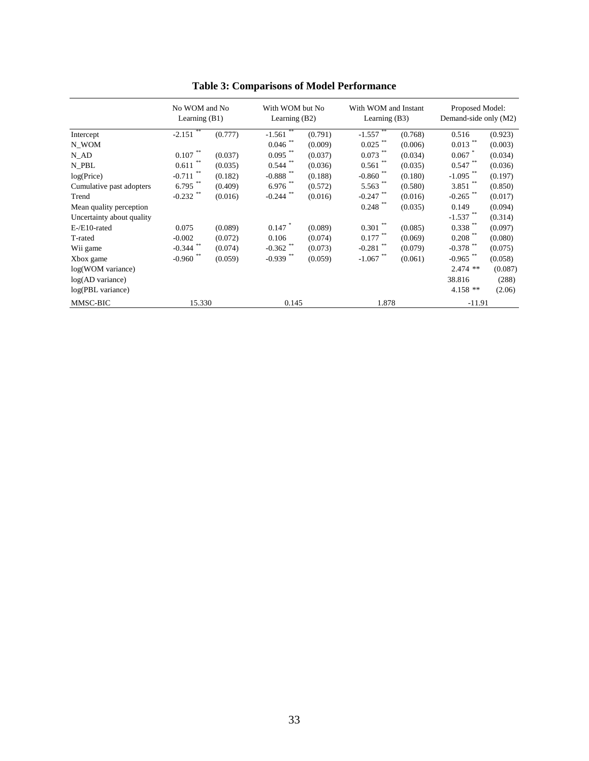<span id="page-33-0"></span>

|                           | No WOM and No<br>Learning $(B1)$ |         | With WOM but No<br>Learning (B2) |         | With WOM and Instant<br>Learning $(B3)$ |         | Proposed Model:<br>Demand-side only (M2) |         |
|---------------------------|----------------------------------|---------|----------------------------------|---------|-----------------------------------------|---------|------------------------------------------|---------|
| Intercept                 | **<br>$-2.151$                   | (0.777) | $-1.561$                         | (0.791) | $-1.557$                                | (0.768) | 0.516                                    | (0.923) |
| N_WOM                     |                                  |         | 0.046                            | (0.009) | $0.025$ **                              | (0.006) | 0.013                                    | (0.003) |
| N AD                      | $* *$<br>0.107                   | (0.037) | $0.095$ **                       | (0.037) | $0.073$ **                              | (0.034) | 0.067                                    | (0.034) |
| N PBL                     | 0.611                            | (0.035) | $0.544$ **                       | (0.036) | 0.561                                   | (0.035) | 0.547                                    | (0.036) |
| log(Price)                | $* *$<br>$-0.711$                | (0.182) | -0.888 $^{\ast\ast}$             | (0.188) | $-0.860$                                | (0.180) | $-1.095$                                 | (0.197) |
| Cumulative past adopters  | **<br>6.795                      | (0.409) | $6.976$ **                       | (0.572) | $5.563$ **                              | (0.580) | 3.851                                    | (0.850) |
| Trend                     | $-0.232$                         | (0.016) | $-0.244$                         | (0.016) | $-0.247$                                | (0.016) | $-0.265$ **                              | (0.017) |
| Mean quality perception   |                                  |         |                                  |         | $0.248$ **                              | (0.035) | 0.149                                    | (0.094) |
| Uncertainty about quality |                                  |         |                                  |         |                                         |         | $-1.537$ **                              | (0.314) |
| $E$ -/ $E10$ -rated       | 0.075                            | (0.089) | $0.147$ *                        | (0.089) | $0.301$ **                              | (0.085) | $0.338$ **                               | (0.097) |
| T-rated                   | $-0.002$                         | (0.072) | 0.106                            | (0.074) | $0.177$ **                              | (0.069) | $0.208$ **                               | (0.080) |
| Wii game                  | **<br>$-0.344$                   | (0.074) | $-0.362$                         | (0.073) | $-0.281$                                | (0.079) | $-0.378$ **                              | (0.075) |
| Xbox game                 | $-0.960$ **                      | (0.059) | $-0.939$ **                      | (0.059) | $-1.067$                                | (0.061) | $-0.965$ **                              | (0.058) |
| log(WOM variance)         |                                  |         |                                  |         |                                         |         | $2.474$ **                               | (0.087) |
| $log(AD \space variance)$ |                                  |         |                                  |         |                                         |         | 38.816                                   | (288)   |
| log(PBL variance)         |                                  |         |                                  |         |                                         |         | $4.158**$                                | (2.06)  |
| MMSC-BIC                  | 15.330                           |         | 0.145                            |         | 1.878                                   |         | $-11.91$                                 |         |

**Table 3: Comparisons of Model Performance**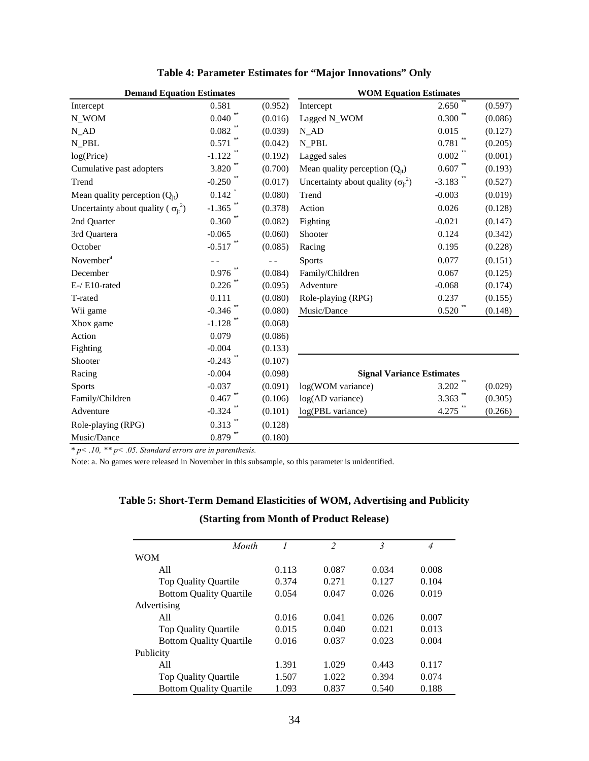<span id="page-34-0"></span>

| <b>Demand Equation Estimates</b>              |                        |         | <b>WOM Equation Estimates</b>               |                        |         |  |
|-----------------------------------------------|------------------------|---------|---------------------------------------------|------------------------|---------|--|
| Intercept                                     | 0.581                  | (0.952) | Intercept                                   | 2.650                  | (0.597) |  |
| N_WOM                                         | 0.040                  | (0.016) | Lagged N_WOM                                | 0.300                  | (0.086) |  |
| $N$ <sub>_AD</sub>                            | $0.082$ **             | (0.039) | $N$ <sub><math>AD</math></sub>              | 0.015                  | (0.127) |  |
| N_PBL                                         | 0.571                  | (0.042) | N PBL                                       | 0.781                  | (0.205) |  |
| log(Price)                                    | $-1.122$               | (0.192) | Lagged sales                                | 0.002                  | (0.001) |  |
| Cumulative past adopters                      | $3.820$ <sup>*</sup>   | (0.700) | Mean quality perception $(Q_{it})$          | 0.607                  | (0.193) |  |
| Trend                                         | $-0.250$ <sup>**</sup> | (0.017) | Uncertainty about quality $(\sigma_{it}^2)$ | $-3.183$ <sup>**</sup> | (0.527) |  |
| Mean quality perception $(Q_{it})$            | 0.142                  | (0.080) | Trend                                       | $-0.003$               | (0.019) |  |
| Uncertainty about quality ( $\sigma_{it}^2$ ) | $-1.365$ **            | (0.378) | Action                                      | 0.026                  | (0.128) |  |
| 2nd Quarter                                   | $0.360$ **             | (0.082) | Fighting                                    | $-0.021$               | (0.147) |  |
| 3rd Quartera                                  | $-0.065$               | (0.060) | Shooter                                     | 0.124                  | (0.342) |  |
| October                                       | $-0.517$ **            | (0.085) | Racing                                      | 0.195                  | (0.228) |  |
| November <sup>a</sup>                         |                        |         | <b>Sports</b>                               | 0.077                  | (0.151) |  |
| December                                      | 0.976                  | (0.084) | Family/Children                             | 0.067                  | (0.125) |  |
| E-/ E10-rated                                 | $0.226$ **             | (0.095) | Adventure                                   | $-0.068$               | (0.174) |  |
| T-rated                                       | 0.111                  | (0.080) | Role-playing (RPG)                          | 0.237                  | (0.155) |  |
| Wii game                                      | $-0.346$               | (0.080) | Music/Dance                                 | 0.520                  | (0.148) |  |
| Xbox game                                     | $-1.128$ **            | (0.068) |                                             |                        |         |  |
| Action                                        | 0.079                  | (0.086) |                                             |                        |         |  |
| Fighting                                      | $-0.004$               | (0.133) |                                             |                        |         |  |
| Shooter                                       | $-0.243$ <sup>**</sup> | (0.107) |                                             |                        |         |  |
| Racing                                        | $-0.004$               | (0.098) | <b>Signal Variance Estimates</b>            |                        |         |  |
| Sports                                        | $-0.037$               | (0.091) | log(WOM variance)                           | 3.202                  | (0.029) |  |
| Family/Children                               | 0.467                  | (0.106) | log(AD variance)                            | 3.363                  | (0.305) |  |
| Adventure                                     | $-0.324$ "             | (0.101) | log(PBL variance)                           | 4.275                  | (0.266) |  |
| Role-playing (RPG)                            | 0.313                  | (0.128) |                                             |                        |         |  |
| Music/Dance                                   | $0.879$ **             | (0.180) |                                             |                        |         |  |

### **Table 4: Parameter Estimates for "Major Innovations" Only**

\* *p< .10, \*\* p< .05. Standard errors are in parenthesis.* 

<span id="page-34-1"></span>Note: a. No games were released in November in this subsample, so this parameter is unidentified.

# **Table 5: Short-Term Demand Elasticities of WOM, Advertising and Publicity (Starting from Month of Product Release)**

| Month                          |       | $\overline{2}$ | 3     | 4     |
|--------------------------------|-------|----------------|-------|-------|
| <b>WOM</b>                     |       |                |       |       |
| All                            | 0.113 | 0.087          | 0.034 | 0.008 |
| <b>Top Quality Quartile</b>    | 0.374 | 0.271          | 0.127 | 0.104 |
| <b>Bottom Quality Quartile</b> | 0.054 | 0.047          | 0.026 | 0.019 |
| Advertising                    |       |                |       |       |
| A11                            | 0.016 | 0.041          | 0.026 | 0.007 |
| <b>Top Quality Quartile</b>    | 0.015 | 0.040          | 0.021 | 0.013 |
| <b>Bottom Quality Quartile</b> | 0.016 | 0.037          | 0.023 | 0.004 |
| Publicity                      |       |                |       |       |
| A11                            | 1.391 | 1.029          | 0.443 | 0.117 |
| <b>Top Quality Quartile</b>    | 1.507 | 1.022          | 0.394 | 0.074 |
| <b>Bottom Quality Quartile</b> | 1.093 | 0.837          | 0.540 | 0.188 |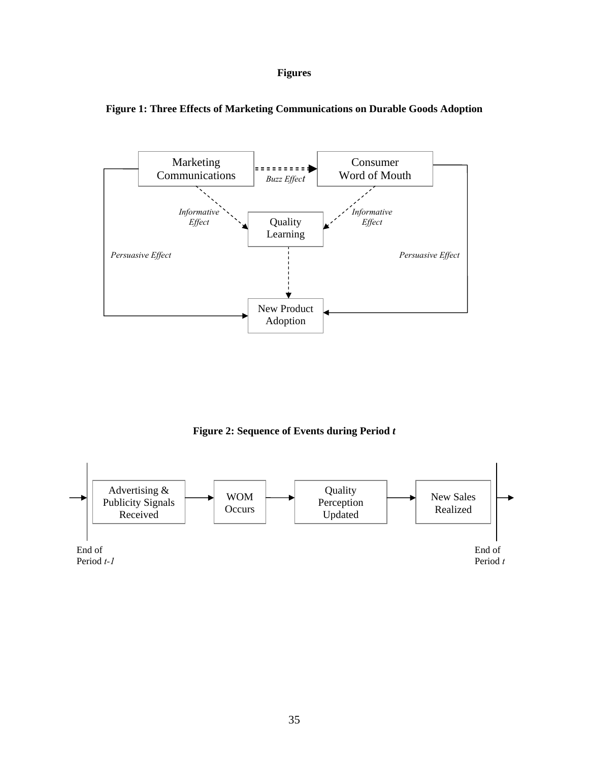### **Figures**



<span id="page-35-0"></span>

**Figure 2: Sequence of Events during Period** *t* 

<span id="page-35-1"></span>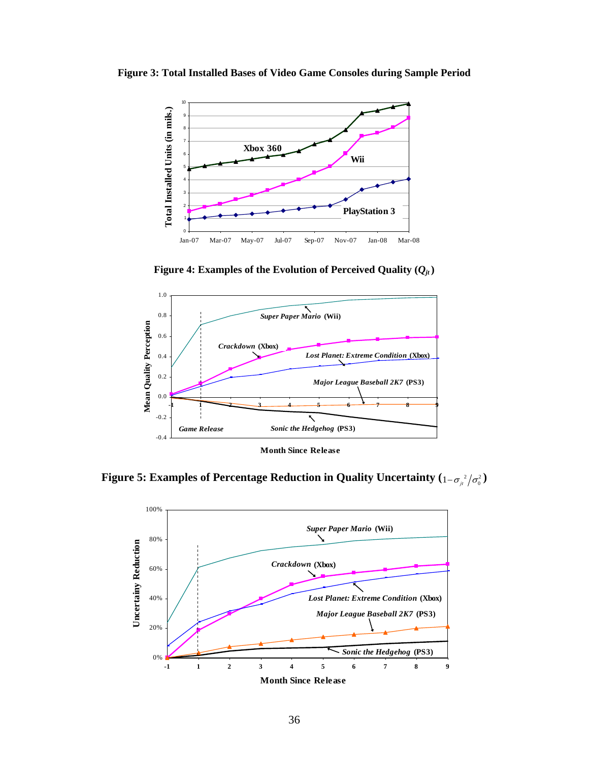<span id="page-36-0"></span>**Figure 3: Total Installed Bases of Video Game Consoles during Sample Period** 



**Figure 4: Examples of the Evolution of Perceived Quality**  $(Q_{it})$ 

<span id="page-36-1"></span>

<span id="page-36-2"></span>Figure 5: Examples of Percentage Reduction in Quality Uncertainty  $(1-\sigma_{\mu}^{-2}/\sigma_{0}^{2})$ 

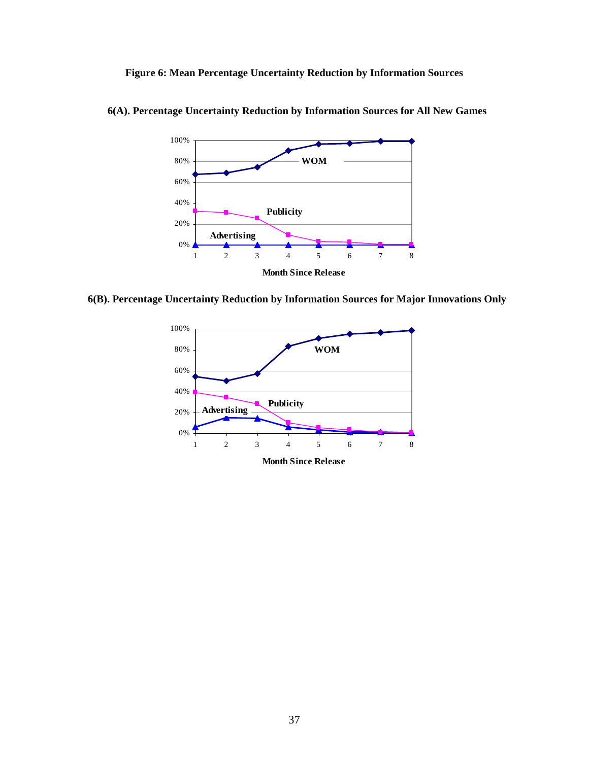**Figure 6: Mean Percentage Uncertainty Reduction by Information Sources** 



<span id="page-37-0"></span>**6(A). Percentage Uncertainty Reduction by Information Sources for All New Games** 

**6(B). Percentage Uncertainty Reduction by Information Sources for Major Innovations Only** 



**Month Since Release**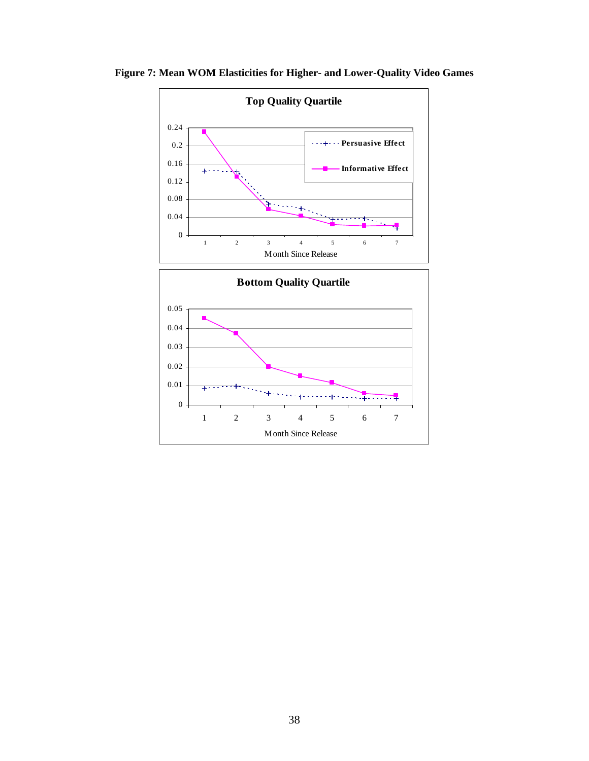

<span id="page-38-0"></span>**Figure 7: Mean WOM Elasticities for Higher- and Lower-Quality Video Games**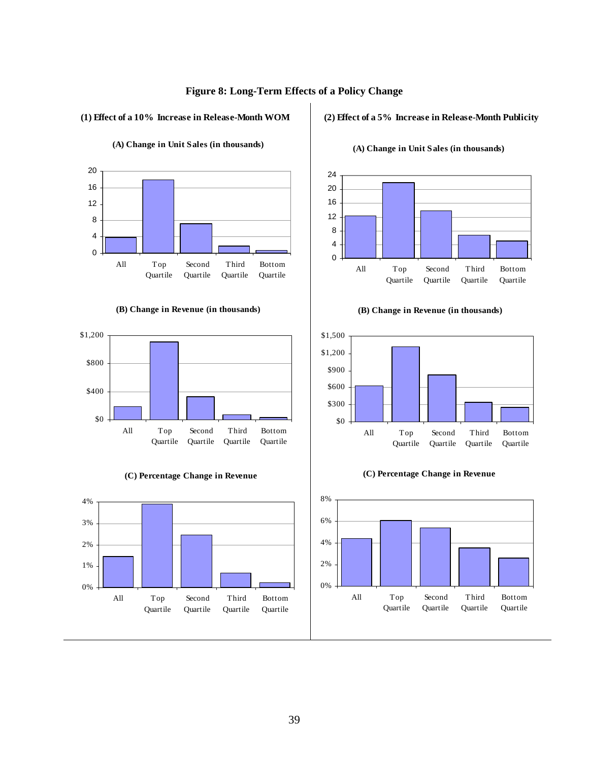

#### <span id="page-39-0"></span>**(1) Effect of a 10% Increase in Release-Month WOM**

#### $\Omega$ 4 8 12 16 20 All Top Quartile Second Quartile Third Quartile Bottom **Ouartile**

### **(A) Change in Unit Sales (in thousands)**

**(B) Change in Revenue (in thousands)**







#### **(2) Effect of a 5% Increase in Release-Month Publicity**



**(A) Change in Unit Sales (in thousands)**

**(B) Change in Revenue (in thousands)**





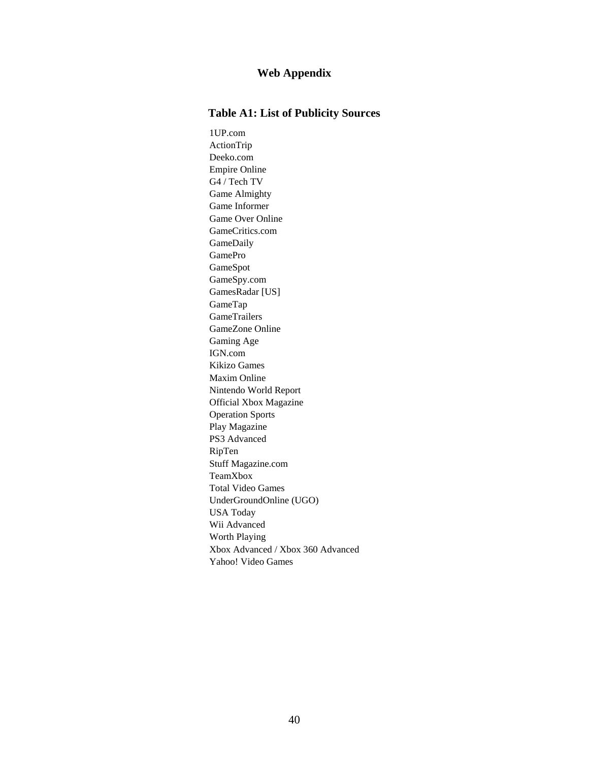### **Web Appendix**

### **Table A1: List of Publicity Sources**

1UP.com ActionTrip Deeko.com Empire Online G4 / Tech TV Game Almighty [Game Informer](http://www.gamestats.com/redirs/615/615903.html?u=http%3a%2f%2fwww.gameinformer.com%2fNR%2fexeres%2f05D99432-F54A-485F-80BE-A43A7B424803.htm&o=853786)  Game Over Online GameCritics.com GameDaily GamePro GameSpot GameSpy.com GamesRadar [US] GameTap GameTrailers GameZone Online Gaming Age IGN.com Kikizo Games Maxim Online Nintendo World Report Official Xbox Magazine Operation Sports Play Magazine PS3 Advanced RipTen Stuff Magazine.com TeamXbox Total Video Games UnderGroundOnline (UGO) USA Today Wii Advanced Worth Playing Xbox Advanced / Xbox 360 Advanced Yahoo! Video Games